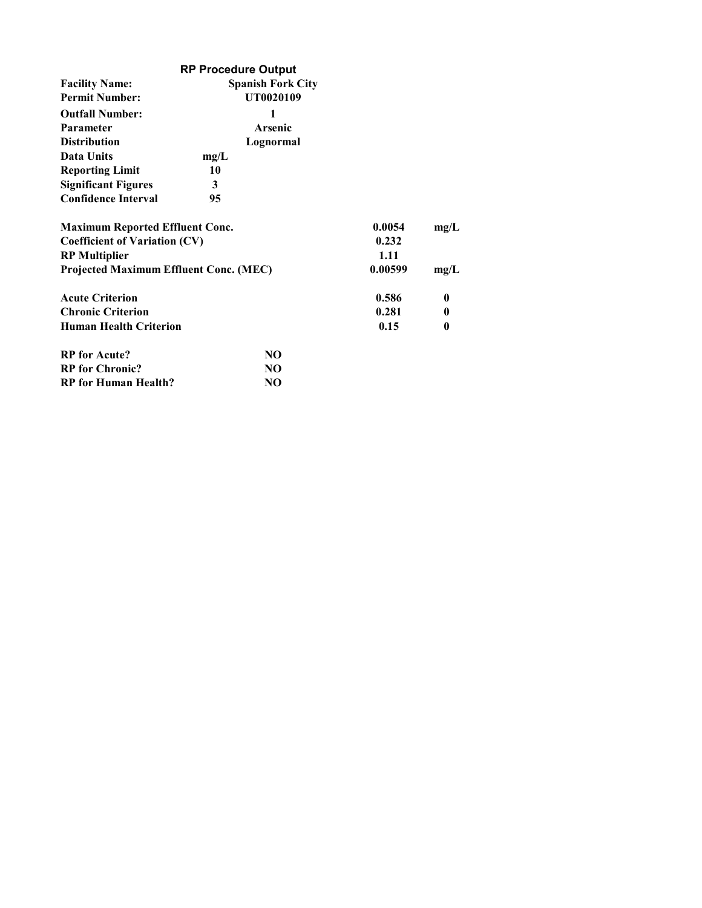|                                               | <b>RP Procedure Output</b> |         |      |
|-----------------------------------------------|----------------------------|---------|------|
| <b>Facility Name:</b>                         |                            |         |      |
| <b>Permit Number:</b>                         | UT0020109                  |         |      |
| <b>Outfall Number:</b>                        | 1                          |         |      |
| Parameter                                     | Arsenic                    |         |      |
| <b>Distribution</b>                           | Lognormal                  |         |      |
| Data Units                                    | mg/L                       |         |      |
| <b>Reporting Limit</b>                        | 10                         |         |      |
| <b>Significant Figures</b>                    | 3                          |         |      |
| <b>Confidence Interval</b>                    | 95                         |         |      |
| <b>Maximum Reported Effluent Conc.</b>        |                            | 0.0054  | mg/L |
| <b>Coefficient of Variation (CV)</b>          | 0.232                      |         |      |
| <b>RP</b> Multiplier                          |                            | 1.11    |      |
| <b>Projected Maximum Effluent Conc. (MEC)</b> |                            | 0.00599 | mg/L |
| <b>Acute Criterion</b>                        |                            | 0.586   | 0    |
| <b>Chronic Criterion</b>                      |                            | 0.281   | 0    |
| <b>Human Health Criterion</b>                 |                            | 0.15    | 0    |
| <b>RP</b> for Acute?                          | NO.                        |         |      |
| <b>RP</b> for Chronic?                        | NO.                        |         |      |
| <b>RP</b> for Human Health?                   | NO.                        |         |      |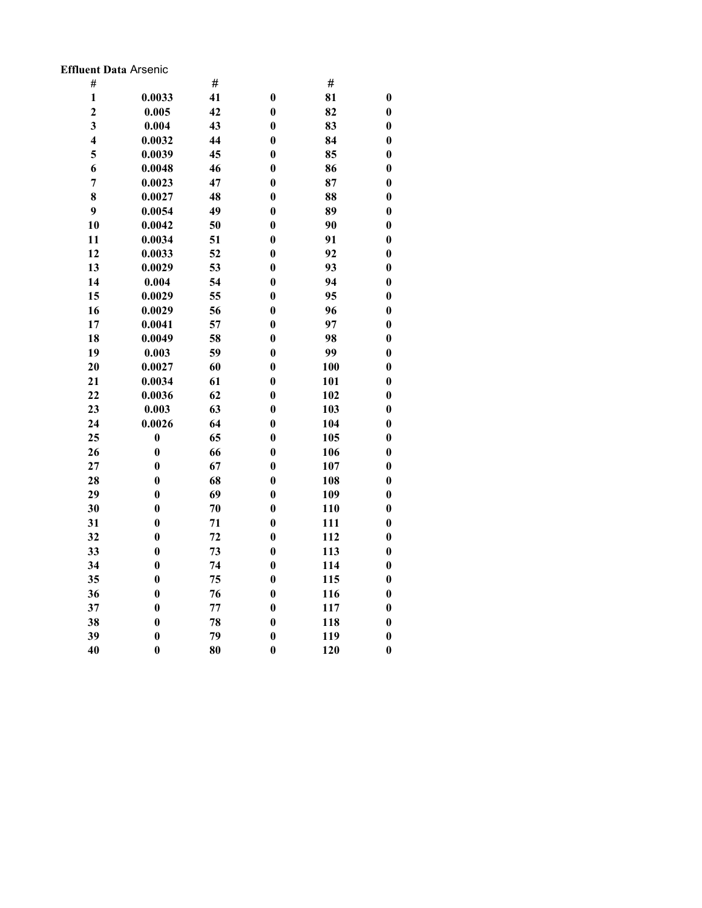### Effluent Data Arsenic

| $\#$                    |                  | #  |                  | $\#$ |                  |
|-------------------------|------------------|----|------------------|------|------------------|
| $\mathbf{1}$            | 0.0033           | 41 | $\bf{0}$         | 81   | $\boldsymbol{0}$ |
| $\overline{2}$          | 0.005            | 42 | $\bf{0}$         | 82   | $\bf{0}$         |
| $\overline{\mathbf{3}}$ | 0.004            | 43 | $\bf{0}$         | 83   | $\boldsymbol{0}$ |
| $\overline{\mathbf{4}}$ | 0.0032           | 44 | $\bf{0}$         | 84   | $\boldsymbol{0}$ |
| 5                       | 0.0039           | 45 | $\bf{0}$         | 85   | $\boldsymbol{0}$ |
| 6                       | 0.0048           | 46 | $\bf{0}$         | 86   | $\bf{0}$         |
| $\overline{7}$          | 0.0023           | 47 | $\bf{0}$         | 87   | $\bf{0}$         |
| 8                       | 0.0027           | 48 | $\bf{0}$         | 88   | $\boldsymbol{0}$ |
| 9                       | 0.0054           | 49 | $\boldsymbol{0}$ | 89   | $\boldsymbol{0}$ |
| 10                      | 0.0042           | 50 | $\bf{0}$         | 90   | $\bf{0}$         |
| 11                      | 0.0034           | 51 | $\bf{0}$         | 91   | $\boldsymbol{0}$ |
| 12                      | 0.0033           | 52 | $\boldsymbol{0}$ | 92   | $\boldsymbol{0}$ |
| 13                      | 0.0029           | 53 | $\bf{0}$         | 93   | $\boldsymbol{0}$ |
| 14                      | 0.004            | 54 | $\bf{0}$         | 94   | $\bf{0}$         |
| 15                      | 0.0029           | 55 | $\bf{0}$         | 95   | $\boldsymbol{0}$ |
| 16                      | 0.0029           | 56 | $\bf{0}$         | 96   | $\boldsymbol{0}$ |
| 17                      | 0.0041           | 57 | $\bf{0}$         | 97   | $\boldsymbol{0}$ |
| 18                      | 0.0049           | 58 | $\bf{0}$         | 98   | $\bf{0}$         |
| 19                      | 0.003            | 59 | $\bf{0}$         | 99   | $\bf{0}$         |
| 20                      | 0.0027           | 60 | $\bf{0}$         | 100  | $\boldsymbol{0}$ |
| 21                      | 0.0034           | 61 | $\boldsymbol{0}$ | 101  | $\boldsymbol{0}$ |
| 22                      | 0.0036           | 62 | $\bf{0}$         | 102  | $\bf{0}$         |
| 23                      | 0.003            | 63 | $\bf{0}$         | 103  | $\boldsymbol{0}$ |
| 24                      | 0.0026           | 64 | $\bf{0}$         | 104  | $\boldsymbol{0}$ |
| 25                      | $\boldsymbol{0}$ | 65 | $\bf{0}$         | 105  | $\boldsymbol{0}$ |
| 26                      | $\bf{0}$         | 66 | $\bf{0}$         | 106  | $\bf{0}$         |
| 27                      | $\bf{0}$         | 67 | $\bf{0}$         | 107  | $\boldsymbol{0}$ |
| 28                      | $\bf{0}$         | 68 | $\bf{0}$         | 108  | $\boldsymbol{0}$ |
| 29                      | $\boldsymbol{0}$ | 69 | $\boldsymbol{0}$ | 109  | $\boldsymbol{0}$ |
| 30                      | $\bf{0}$         | 70 | $\bf{0}$         | 110  | $\bf{0}$         |
| 31                      | $\bf{0}$         | 71 | $\bf{0}$         | 111  | $\boldsymbol{0}$ |
| 32                      | $\boldsymbol{0}$ | 72 | $\bf{0}$         | 112  | $\boldsymbol{0}$ |
| 33                      | $\bf{0}$         | 73 | $\bf{0}$         | 113  | $\boldsymbol{0}$ |
| 34                      | $\bf{0}$         | 74 | $\bf{0}$         | 114  | $\bf{0}$         |
| 35                      | $\bf{0}$         | 75 | $\bf{0}$         | 115  | $\boldsymbol{0}$ |
| 36                      | $\bf{0}$         | 76 | $\bf{0}$         | 116  | $\bf{0}$         |
| 37                      | $\bf{0}$         | 77 | $\boldsymbol{0}$ | 117  | $\bf{0}$         |
| 38                      | $\bf{0}$         | 78 | $\bf{0}$         | 118  | $\bf{0}$         |
| 39                      | $\bf{0}$         | 79 | $\boldsymbol{0}$ | 119  | $\bf{0}$         |
| 40                      | $\bf{0}$         | 80 | $\bf{0}$         | 120  | $\bf{0}$         |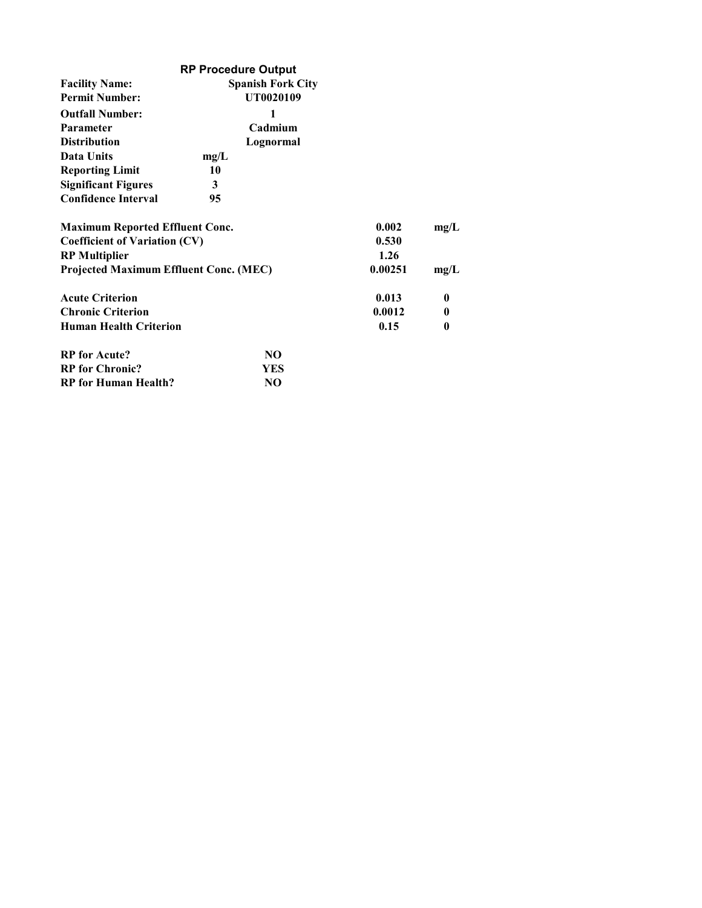|                                               | <b>RP Procedure Output</b> |         |                  |
|-----------------------------------------------|----------------------------|---------|------------------|
| <b>Facility Name:</b>                         |                            |         |                  |
| <b>Permit Number:</b>                         | UT0020109                  |         |                  |
| <b>Outfall Number:</b>                        | 1                          |         |                  |
| <b>Parameter</b>                              | Cadmium                    |         |                  |
| <b>Distribution</b>                           | Lognormal                  |         |                  |
| Data Units                                    | mg/L                       |         |                  |
| <b>Reporting Limit</b>                        | 10                         |         |                  |
| <b>Significant Figures</b>                    | 3                          |         |                  |
| <b>Confidence Interval</b>                    | 95                         |         |                  |
| <b>Maximum Reported Effluent Conc.</b>        |                            | 0.002   | mg/L             |
| <b>Coefficient of Variation (CV)</b>          | 0.530                      |         |                  |
| <b>RP</b> Multiplier                          |                            | 1.26    |                  |
| <b>Projected Maximum Effluent Conc. (MEC)</b> |                            | 0.00251 | mg/L             |
| <b>Acute Criterion</b>                        |                            | 0.013   | $\boldsymbol{0}$ |
| <b>Chronic Criterion</b>                      |                            | 0.0012  | $\boldsymbol{0}$ |
| <b>Human Health Criterion</b>                 |                            | 0.15    | 0                |
| <b>RP</b> for Acute?                          | NO.                        |         |                  |
| <b>RP</b> for Chronic?                        | YES                        |         |                  |
| <b>RP</b> for Human Health?                   | N <sub>O</sub>             |         |                  |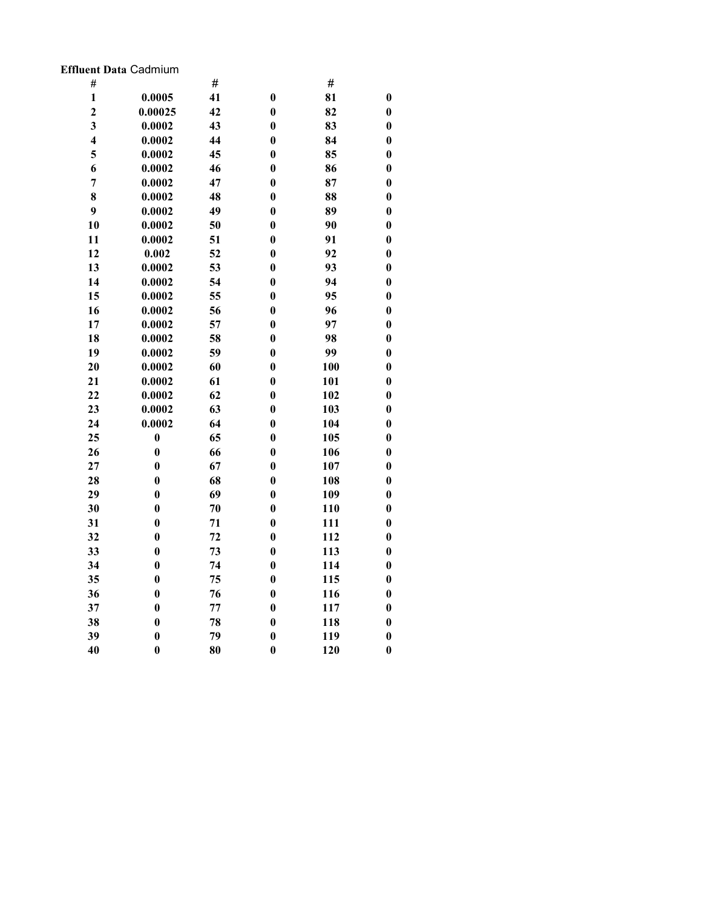## Effluent Data Cadmium

| #                       |                  | #  |                  | $\#$ |                  |
|-------------------------|------------------|----|------------------|------|------------------|
| $\mathbf{1}$            | 0.0005           | 41 | $\bf{0}$         | 81   | $\boldsymbol{0}$ |
| $\overline{2}$          | 0.00025          | 42 | $\bf{0}$         | 82   | $\bf{0}$         |
| $\overline{\mathbf{3}}$ | 0.0002           | 43 | $\bf{0}$         | 83   | $\bf{0}$         |
| $\overline{\mathbf{4}}$ | 0.0002           | 44 | $\bf{0}$         | 84   | $\boldsymbol{0}$ |
| 5                       | 0.0002           | 45 | $\bf{0}$         | 85   | $\boldsymbol{0}$ |
| 6                       | 0.0002           | 46 | $\bf{0}$         | 86   | $\bf{0}$         |
| $\overline{7}$          | 0.0002           | 47 | $\bf{0}$         | 87   | $\bf{0}$         |
| 8                       | 0.0002           | 48 | $\bf{0}$         | 88   | $\bf{0}$         |
| 9                       | 0.0002           | 49 | $\boldsymbol{0}$ | 89   | $\boldsymbol{0}$ |
| 10                      | 0.0002           | 50 | $\bf{0}$         | 90   | $\bf{0}$         |
| 11                      | 0.0002           | 51 | $\bf{0}$         | 91   | $\boldsymbol{0}$ |
| 12                      | 0.002            | 52 | $\bf{0}$         | 92   | $\boldsymbol{0}$ |
| 13                      | 0.0002           | 53 | $\boldsymbol{0}$ | 93   | $\boldsymbol{0}$ |
| 14                      | 0.0002           | 54 | $\boldsymbol{0}$ | 94   | $\bf{0}$         |
| 15                      | 0.0002           | 55 | $\bf{0}$         | 95   | $\boldsymbol{0}$ |
| 16                      | 0.0002           | 56 | $\boldsymbol{0}$ | 96   | $\boldsymbol{0}$ |
| 17                      | 0.0002           | 57 | $\boldsymbol{0}$ | 97   | $\boldsymbol{0}$ |
| 18                      | 0.0002           | 58 | $\boldsymbol{0}$ | 98   | $\bf{0}$         |
| 19                      | 0.0002           | 59 | $\bf{0}$         | 99   | $\bf{0}$         |
| 20                      | 0.0002           | 60 | $\boldsymbol{0}$ | 100  | $\boldsymbol{0}$ |
| 21                      | 0.0002           | 61 | $\boldsymbol{0}$ | 101  | $\boldsymbol{0}$ |
| 22                      | 0.0002           | 62 | $\bf{0}$         | 102  | $\bf{0}$         |
| 23                      | 0.0002           | 63 | $\boldsymbol{0}$ | 103  | $\boldsymbol{0}$ |
| 24                      | 0.0002           | 64 | $\bf{0}$         | 104  | $\boldsymbol{0}$ |
| 25                      | $\boldsymbol{0}$ | 65 | $\bf{0}$         | 105  | $\boldsymbol{0}$ |
| 26                      | $\bf{0}$         | 66 | $\bf{0}$         | 106  | $\bf{0}$         |
| 27                      | $\bf{0}$         | 67 | $\bf{0}$         | 107  | $\bf{0}$         |
| 28                      | $\bf{0}$         | 68 | $\bf{0}$         | 108  | $\boldsymbol{0}$ |
| 29                      | $\boldsymbol{0}$ | 69 | $\boldsymbol{0}$ | 109  | $\boldsymbol{0}$ |
| 30                      | $\bf{0}$         | 70 | $\bf{0}$         | 110  | $\bf{0}$         |
| 31                      | $\bf{0}$         | 71 | $\bf{0}$         | 111  | $\boldsymbol{0}$ |
| 32                      | $\boldsymbol{0}$ | 72 | $\bf{0}$         | 112  | $\boldsymbol{0}$ |
| 33                      | $\bf{0}$         | 73 | $\bf{0}$         | 113  | $\boldsymbol{0}$ |
| 34                      | $\bf{0}$         | 74 | $\bf{0}$         | 114  | $\bf{0}$         |
| 35                      | $\bf{0}$         | 75 | $\bf{0}$         | 115  | $\boldsymbol{0}$ |
| 36                      | $\bf{0}$         | 76 | $\bf{0}$         | 116  | $\boldsymbol{0}$ |
| 37                      | $\boldsymbol{0}$ | 77 | $\boldsymbol{0}$ | 117  | $\boldsymbol{0}$ |
| 38                      | $\bf{0}$         | 78 | $\bf{0}$         | 118  | $\boldsymbol{0}$ |
| 39                      | $\bf{0}$         | 79 | $\boldsymbol{0}$ | 119  | $\bf{0}$         |
| 40                      | $\bf{0}$         | 80 | $\bf{0}$         | 120  | $\bf{0}$         |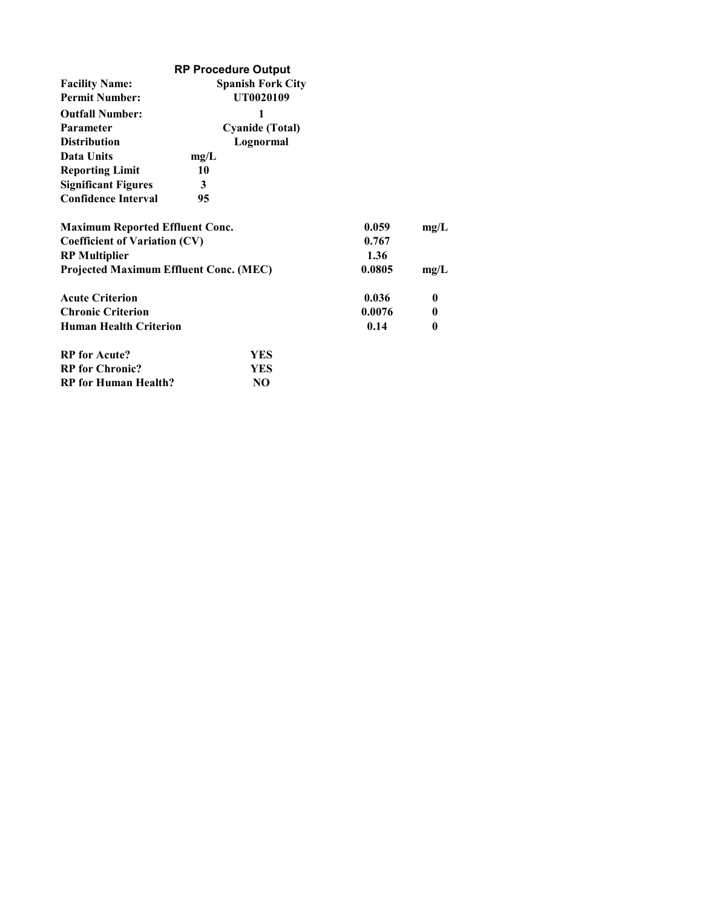|                                               | <b>RP Procedure Output</b> |        |          |
|-----------------------------------------------|----------------------------|--------|----------|
| <b>Facility Name:</b>                         | <b>Spanish Fork City</b>   |        |          |
| <b>Permit Number:</b>                         | UT0020109                  |        |          |
| <b>Outfall Number:</b>                        | 1                          |        |          |
| <b>Parameter</b>                              | <b>Cyanide (Total)</b>     |        |          |
| <b>Distribution</b>                           | Lognormal                  |        |          |
| <b>Data Units</b>                             | mg/L                       |        |          |
| <b>Reporting Limit</b>                        | 10                         |        |          |
| <b>Significant Figures</b>                    | 3                          |        |          |
| <b>Confidence Interval</b>                    | 95                         |        |          |
| <b>Maximum Reported Effluent Conc.</b>        |                            | 0.059  | mg/L     |
| <b>Coefficient of Variation (CV)</b>          | 0.767                      |        |          |
| <b>RP</b> Multiplier                          |                            | 1.36   |          |
| <b>Projected Maximum Effluent Conc. (MEC)</b> |                            | 0.0805 | mg/L     |
| <b>Acute Criterion</b>                        |                            | 0.036  | $\bf{0}$ |
| <b>Chronic Criterion</b>                      |                            | 0.0076 | 0        |
| <b>Human Health Criterion</b>                 |                            | 0.14   | 0        |
| <b>RP</b> for Acute?                          | <b>YES</b>                 |        |          |
| <b>RP</b> for Chronic?                        | YES                        |        |          |
| <b>RP</b> for Human Health?                   | N <sub>O</sub>             |        |          |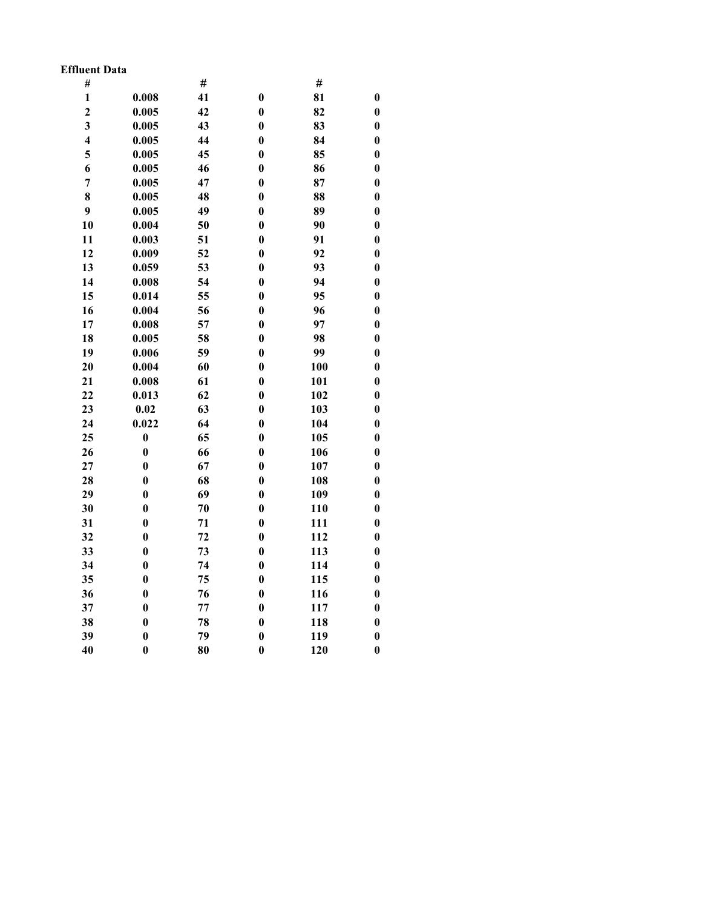### Effluent Data

| #                       |                  | #  |                  | #   |                  |
|-------------------------|------------------|----|------------------|-----|------------------|
| $\mathbf{1}$            | 0.008            | 41 | $\bf{0}$         | 81  | $\boldsymbol{0}$ |
| $\overline{\mathbf{c}}$ | 0.005            | 42 | $\bf{0}$         | 82  | $\bf{0}$         |
| $\overline{\mathbf{3}}$ | 0.005            | 43 | $\bf{0}$         | 83  | $\boldsymbol{0}$ |
| $\overline{\mathbf{4}}$ | 0.005            | 44 | $\bf{0}$         | 84  | $\bf{0}$         |
| 5                       | 0.005            | 45 | $\bf{0}$         | 85  | $\boldsymbol{0}$ |
| 6                       | 0.005            | 46 | $\bf{0}$         | 86  | $\boldsymbol{0}$ |
| $\overline{7}$          | 0.005            | 47 | $\bf{0}$         | 87  | $\boldsymbol{0}$ |
| 8                       | 0.005            | 48 | $\bf{0}$         | 88  | $\bf{0}$         |
| 9                       | 0.005            | 49 | $\bf{0}$         | 89  | $\bf{0}$         |
| 10                      | 0.004            | 50 | $\bf{0}$         | 90  | $\boldsymbol{0}$ |
| 11                      | 0.003            | 51 | $\bf{0}$         | 91  | $\boldsymbol{0}$ |
| 12                      | 0.009            | 52 | $\bf{0}$         | 92  | $\boldsymbol{0}$ |
| 13                      | 0.059            | 53 | $\bf{0}$         | 93  | $\boldsymbol{0}$ |
| 14                      | 0.008            | 54 | $\bf{0}$         | 94  | $\bf{0}$         |
| 15                      | 0.014            | 55 | $\bf{0}$         | 95  | $\boldsymbol{0}$ |
| 16                      | 0.004            | 56 | $\bf{0}$         | 96  | $\boldsymbol{0}$ |
| 17                      | 0.008            | 57 | $\bf{0}$         | 97  | $\boldsymbol{0}$ |
| 18                      | 0.005            | 58 | $\bf{0}$         | 98  | $\bf{0}$         |
| 19                      | 0.006            | 59 | $\bf{0}$         | 99  | $\boldsymbol{0}$ |
| 20                      | 0.004            | 60 | $\bf{0}$         | 100 | $\boldsymbol{0}$ |
| 21                      | 0.008            | 61 | $\bf{0}$         | 101 | $\boldsymbol{0}$ |
| 22                      | 0.013            | 62 | $\bf{0}$         | 102 | $\bf{0}$         |
| 23                      | 0.02             | 63 | $\bf{0}$         | 103 | $\boldsymbol{0}$ |
| 24                      | 0.022            | 64 | $\bf{0}$         | 104 | $\boldsymbol{0}$ |
| 25                      | $\boldsymbol{0}$ | 65 | $\bf{0}$         | 105 | $\boldsymbol{0}$ |
| 26                      | $\bf{0}$         | 66 | $\bf{0}$         | 106 | $\boldsymbol{0}$ |
| 27                      | $\bf{0}$         | 67 | $\boldsymbol{0}$ | 107 | $\boldsymbol{0}$ |
| 28                      | $\bf{0}$         | 68 | $\bf{0}$         | 108 | $\boldsymbol{0}$ |
| 29                      | $\bf{0}$         | 69 | $\bf{0}$         | 109 | $\boldsymbol{0}$ |
| 30                      | $\bf{0}$         | 70 | $\bf{0}$         | 110 | $\boldsymbol{0}$ |
| 31                      | $\bf{0}$         | 71 | $\bf{0}$         | 111 | $\boldsymbol{0}$ |
| 32                      | $\boldsymbol{0}$ | 72 | $\bf{0}$         | 112 | $\boldsymbol{0}$ |
| 33                      | $\boldsymbol{0}$ | 73 | $\bf{0}$         | 113 | $\boldsymbol{0}$ |
| 34                      | $\bf{0}$         | 74 | $\bf{0}$         | 114 | $\boldsymbol{0}$ |
| 35                      | $\boldsymbol{0}$ | 75 | $\bf{0}$         | 115 | $\bf{0}$         |
| 36                      | $\bf{0}$         | 76 | $\bf{0}$         | 116 | $\boldsymbol{0}$ |
| 37                      | $\boldsymbol{0}$ | 77 | $\bf{0}$         | 117 | $\boldsymbol{0}$ |
| 38                      | $\bf{0}$         | 78 | $\bf{0}$         | 118 | $\boldsymbol{0}$ |
| 39                      | $\bf{0}$         | 79 | $\bf{0}$         | 119 | $\boldsymbol{0}$ |
| 40                      | $\bf{0}$         | 80 | $\bf{0}$         | 120 | $\bf{0}$         |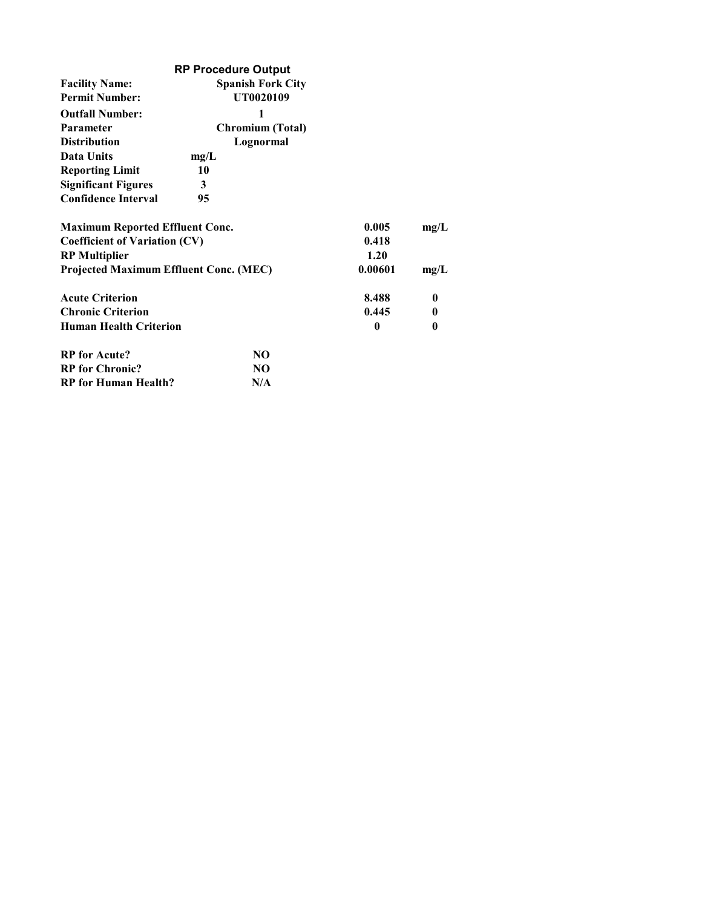|                                               | <b>RP Procedure Output</b> |         |                  |
|-----------------------------------------------|----------------------------|---------|------------------|
| <b>Facility Name:</b>                         | <b>Spanish Fork City</b>   |         |                  |
| <b>Permit Number:</b>                         | UT0020109                  |         |                  |
| <b>Outfall Number:</b>                        | 1                          |         |                  |
| <b>Parameter</b>                              | <b>Chromium (Total)</b>    |         |                  |
| <b>Distribution</b>                           | Lognormal                  |         |                  |
| <b>Data Units</b>                             | mg/L                       |         |                  |
| <b>Reporting Limit</b>                        | 10                         |         |                  |
| <b>Significant Figures</b>                    | 3                          |         |                  |
| <b>Confidence Interval</b>                    | 95                         |         |                  |
| <b>Maximum Reported Effluent Conc.</b>        |                            | 0.005   | mg/L             |
| <b>Coefficient of Variation (CV)</b>          | 0.418                      |         |                  |
| <b>RP</b> Multiplier                          |                            | 1.20    |                  |
| <b>Projected Maximum Effluent Conc. (MEC)</b> |                            | 0.00601 | mg/L             |
| <b>Acute Criterion</b>                        |                            | 8.488   | 0                |
| <b>Chronic Criterion</b>                      |                            | 0.445   | 0                |
| <b>Human Health Criterion</b>                 |                            | 0       | $\boldsymbol{0}$ |
| <b>RP</b> for Acute?                          | NO.                        |         |                  |
| <b>RP</b> for Chronic?                        | NO.                        |         |                  |
| <b>RP</b> for Human Health?                   | N/A                        |         |                  |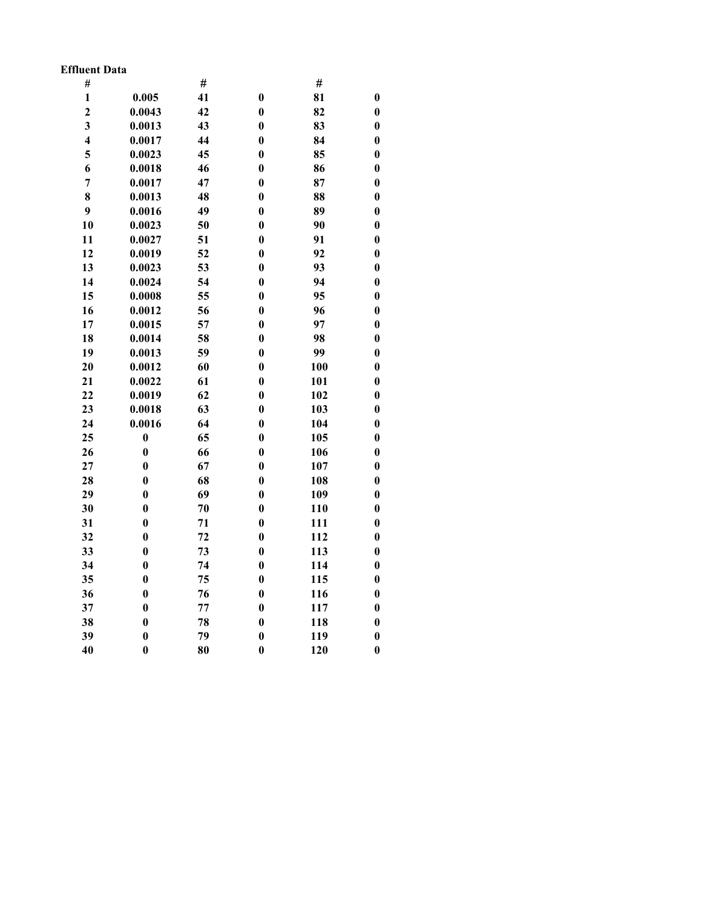### Effluent Data

| $\#$                    |                  | #  |          | #   |                  |
|-------------------------|------------------|----|----------|-----|------------------|
| $\mathbf{1}$            | 0.005            | 41 | $\bf{0}$ | 81  | $\bf{0}$         |
| $\overline{\mathbf{c}}$ | 0.0043           | 42 | $\bf{0}$ | 82  | $\bf{0}$         |
| $\overline{\mathbf{3}}$ | 0.0013           | 43 | $\bf{0}$ | 83  | $\bf{0}$         |
| $\overline{\mathbf{4}}$ | 0.0017           | 44 | $\bf{0}$ | 84  | $\bf{0}$         |
| 5                       | 0.0023           | 45 | $\bf{0}$ | 85  | $\boldsymbol{0}$ |
| 6                       | 0.0018           | 46 | $\bf{0}$ | 86  | $\bf{0}$         |
| $\overline{7}$          | 0.0017           | 47 | $\bf{0}$ | 87  | $\bf{0}$         |
| 8                       | 0.0013           | 48 | $\bf{0}$ | 88  | $\bf{0}$         |
| 9                       | 0.0016           | 49 | $\bf{0}$ | 89  | $\bf{0}$         |
| 10                      | 0.0023           | 50 | $\bf{0}$ | 90  | $\boldsymbol{0}$ |
| 11                      | 0.0027           | 51 | $\bf{0}$ | 91  | $\boldsymbol{0}$ |
| 12                      | 0.0019           | 52 | $\bf{0}$ | 92  | $\boldsymbol{0}$ |
| 13                      | 0.0023           | 53 | $\bf{0}$ | 93  | $\bf{0}$         |
| 14                      | 0.0024           | 54 | $\bf{0}$ | 94  | $\bf{0}$         |
| 15                      | 0.0008           | 55 | $\bf{0}$ | 95  | $\boldsymbol{0}$ |
| 16                      | 0.0012           | 56 | $\bf{0}$ | 96  | $\boldsymbol{0}$ |
| 17                      | 0.0015           | 57 | $\bf{0}$ | 97  | $\boldsymbol{0}$ |
| 18                      | 0.0014           | 58 | $\bf{0}$ | 98  | $\boldsymbol{0}$ |
| 19                      | 0.0013           | 59 | $\bf{0}$ | 99  | $\boldsymbol{0}$ |
| 20                      | 0.0012           | 60 | $\bf{0}$ | 100 | $\bf{0}$         |
| 21                      | 0.0022           | 61 | $\bf{0}$ | 101 | $\boldsymbol{0}$ |
| 22                      | 0.0019           | 62 | $\bf{0}$ | 102 | $\boldsymbol{0}$ |
| 23                      | 0.0018           | 63 | $\bf{0}$ | 103 | $\boldsymbol{0}$ |
| 24                      | 0.0016           | 64 | $\bf{0}$ | 104 | $\bf{0}$         |
| 25                      | $\boldsymbol{0}$ | 65 | $\bf{0}$ | 105 | $\boldsymbol{0}$ |
| 26                      | $\bf{0}$         | 66 | $\bf{0}$ | 106 | $\boldsymbol{0}$ |
| 27                      | $\bf{0}$         | 67 | $\bf{0}$ | 107 | $\bf{0}$         |
| 28                      | $\bf{0}$         | 68 | $\bf{0}$ | 108 | $\boldsymbol{0}$ |
| 29                      | $\boldsymbol{0}$ | 69 | $\bf{0}$ | 109 | $\boldsymbol{0}$ |
| 30                      | $\bf{0}$         | 70 | $\bf{0}$ | 110 | $\boldsymbol{0}$ |
| 31                      | $\bf{0}$         | 71 | $\bf{0}$ | 111 | $\boldsymbol{0}$ |
| 32                      | $\bf{0}$         | 72 | $\bf{0}$ | 112 | $\boldsymbol{0}$ |
| 33                      | $\bf{0}$         | 73 | $\bf{0}$ | 113 | $\boldsymbol{0}$ |
| 34                      | $\bf{0}$         | 74 | $\bf{0}$ | 114 | $\boldsymbol{0}$ |
| 35                      | $\bf{0}$         | 75 | $\bf{0}$ | 115 | $\boldsymbol{0}$ |
| 36                      | $\bf{0}$         | 76 | $\bf{0}$ | 116 | $\bf{0}$         |
| 37                      | $\bf{0}$         | 77 | $\bf{0}$ | 117 | $\boldsymbol{0}$ |
| 38                      | $\bf{0}$         | 78 | $\bf{0}$ | 118 | $\boldsymbol{0}$ |
| 39                      | $\bf{0}$         | 79 | $\bf{0}$ | 119 | $\boldsymbol{0}$ |
| 40                      | $\bf{0}$         | 80 | $\bf{0}$ | 120 | $\bf{0}$         |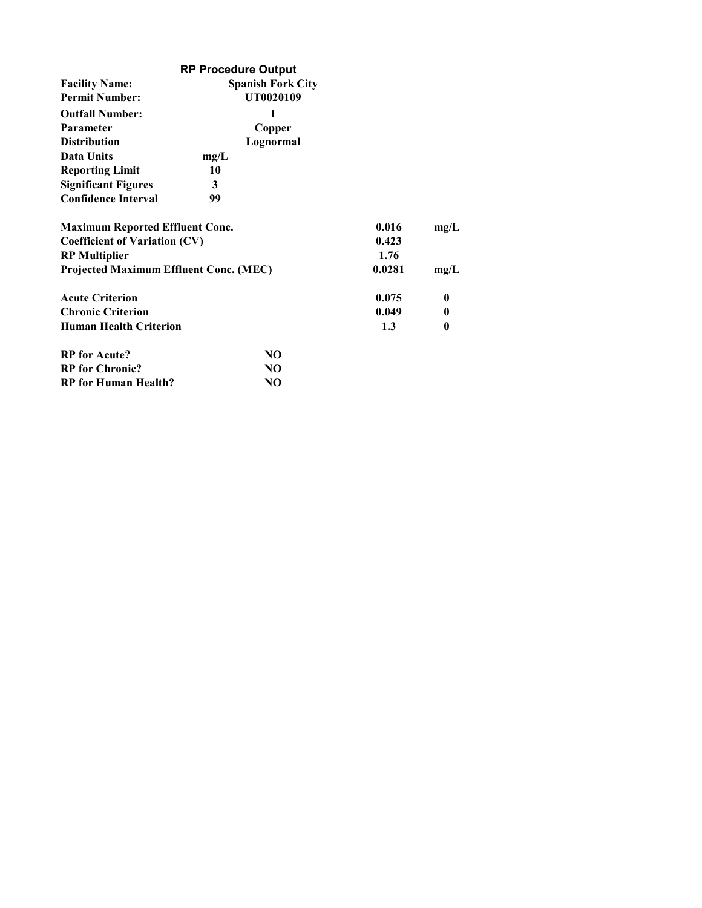|                                               | <b>RP Procedure Output</b> |        |              |
|-----------------------------------------------|----------------------------|--------|--------------|
| <b>Facility Name:</b>                         | <b>Spanish Fork City</b>   |        |              |
| <b>Permit Number:</b>                         | UT0020109                  |        |              |
| <b>Outfall Number:</b>                        | 1                          |        |              |
| <b>Parameter</b>                              | Copper                     |        |              |
| <b>Distribution</b>                           | Lognormal                  |        |              |
| Data Units                                    | mg/L                       |        |              |
| <b>Reporting Limit</b>                        | 10                         |        |              |
| <b>Significant Figures</b>                    | 3                          |        |              |
| <b>Confidence Interval</b>                    | 99                         |        |              |
| <b>Maximum Reported Effluent Conc.</b>        |                            | 0.016  | mg/L         |
| <b>Coefficient of Variation (CV)</b>          | 0.423                      |        |              |
| <b>RP</b> Multiplier                          |                            | 1.76   |              |
| <b>Projected Maximum Effluent Conc. (MEC)</b> |                            | 0.0281 | mg/L         |
| <b>Acute Criterion</b>                        |                            | 0.075  | $\bf{0}$     |
| <b>Chronic Criterion</b>                      |                            | 0.049  | $\mathbf{0}$ |
| <b>Human Health Criterion</b>                 |                            | 1.3    | 0            |
| <b>RP</b> for Acute?                          | NO                         |        |              |
| <b>RP</b> for Chronic?                        | NO.                        |        |              |
| <b>RP</b> for Human Health?                   | NO                         |        |              |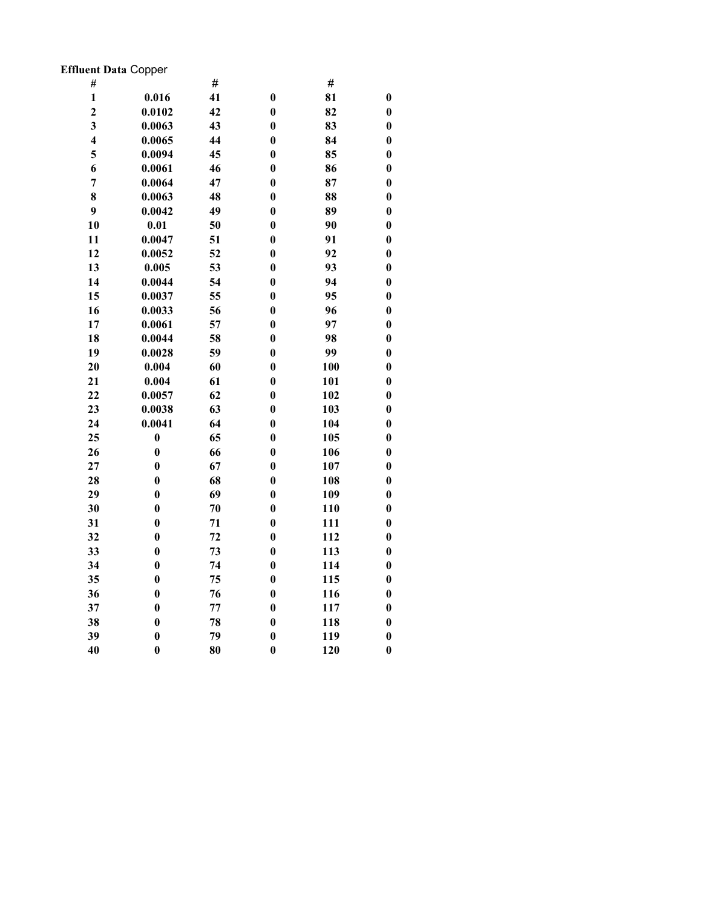# Effluent Data Copper

| #                       |                  | #  |                      | #   |                  |
|-------------------------|------------------|----|----------------------|-----|------------------|
| $\mathbf{1}$            | 0.016            | 41 | $\bf{0}$             | 81  | $\boldsymbol{0}$ |
| $\overline{2}$          | 0.0102           | 42 | $\bf{0}$             | 82  | $\bf{0}$         |
| $\overline{\mathbf{3}}$ | 0.0063           | 43 | $\bf{0}$             | 83  | $\boldsymbol{0}$ |
| $\overline{\mathbf{4}}$ | 0.0065           | 44 | $\bf{0}$             | 84  | $\boldsymbol{0}$ |
| 5                       | 0.0094           | 45 | $\boldsymbol{0}$     | 85  | $\boldsymbol{0}$ |
| 6                       | 0.0061           | 46 | $\bf{0}$             | 86  | $\boldsymbol{0}$ |
| $\overline{7}$          | 0.0064           | 47 | $\bf{0}$             | 87  | $\bf{0}$         |
| 8                       | 0.0063           | 48 | $\bf{0}$             | 88  | $\boldsymbol{0}$ |
|                         |                  |    |                      |     |                  |
| 9                       | 0.0042           | 49 | $\boldsymbol{0}$     | 89  | $\boldsymbol{0}$ |
| 10                      | 0.01             | 50 | $\bf{0}$<br>$\bf{0}$ | 90  | $\bf{0}$         |
| 11                      | 0.0047           | 51 |                      | 91  | $\boldsymbol{0}$ |
| 12                      | 0.0052           | 52 | $\boldsymbol{0}$     | 92  | $\boldsymbol{0}$ |
| 13                      | 0.005            | 53 | $\bf{0}$             | 93  | $\boldsymbol{0}$ |
| 14                      | 0.0044           | 54 | $\bf{0}$             | 94  | $\boldsymbol{0}$ |
| 15                      | 0.0037           | 55 | $\bf{0}$             | 95  | $\bf{0}$         |
| 16                      | 0.0033           | 56 | $\bf{0}$             | 96  | $\bf{0}$         |
| 17                      | 0.0061           | 57 | $\bf{0}$             | 97  | $\boldsymbol{0}$ |
| 18                      | 0.0044           | 58 | $\bf{0}$             | 98  | $\boldsymbol{0}$ |
| 19                      | 0.0028           | 59 | $\bf{0}$             | 99  | $\boldsymbol{0}$ |
| 20                      | 0.004            | 60 | $\bf{0}$             | 100 | $\boldsymbol{0}$ |
| 21                      | 0.004            | 61 | $\boldsymbol{0}$     | 101 | $\boldsymbol{0}$ |
| 22                      | 0.0057           | 62 | $\bf{0}$             | 102 | $\bf{0}$         |
| 23                      | 0.0038           | 63 | $\bf{0}$             | 103 | $\boldsymbol{0}$ |
| 24                      | 0.0041           | 64 | $\bf{0}$             | 104 | $\boldsymbol{0}$ |
| 25                      | $\bf{0}$         | 65 | $\boldsymbol{0}$     | 105 | $\boldsymbol{0}$ |
| 26                      | $\bf{0}$         | 66 | $\bf{0}$             | 106 | $\boldsymbol{0}$ |
| 27                      | $\bf{0}$         | 67 | $\bf{0}$             | 107 | $\bf{0}$         |
| 28                      | $\bf{0}$         | 68 | $\bf{0}$             | 108 | $\bf{0}$         |
| 29                      | $\bf{0}$         | 69 | $\boldsymbol{0}$     | 109 | $\boldsymbol{0}$ |
| 30                      | $\bf{0}$         | 70 | $\bf{0}$             | 110 | $\bf{0}$         |
| 31                      | $\bf{0}$         | 71 | $\bf{0}$             | 111 | $\boldsymbol{0}$ |
| 32                      | $\bf{0}$         | 72 | $\boldsymbol{0}$     | 112 | $\boldsymbol{0}$ |
| 33                      | $\boldsymbol{0}$ | 73 | $\bf{0}$             | 113 | $\boldsymbol{0}$ |
| 34                      | $\bf{0}$         | 74 | $\bf{0}$             | 114 | $\bf{0}$         |
| 35                      | $\bf{0}$         | 75 | $\bf{0}$             | 115 | $\boldsymbol{0}$ |
| 36                      | $\bf{0}$         | 76 | $\bf{0}$             | 116 | $\bf{0}$         |
| 37                      | $\bf{0}$         | 77 | $\boldsymbol{0}$     | 117 | $\boldsymbol{0}$ |
| 38                      | $\bf{0}$         | 78 | $\bf{0}$             | 118 | $\bf{0}$         |
| 39                      | $\bf{0}$         | 79 | $\bf{0}$             | 119 | $\bf{0}$         |
| 40                      | $\bf{0}$         | 80 | $\bf{0}$             | 120 | $\bf{0}$         |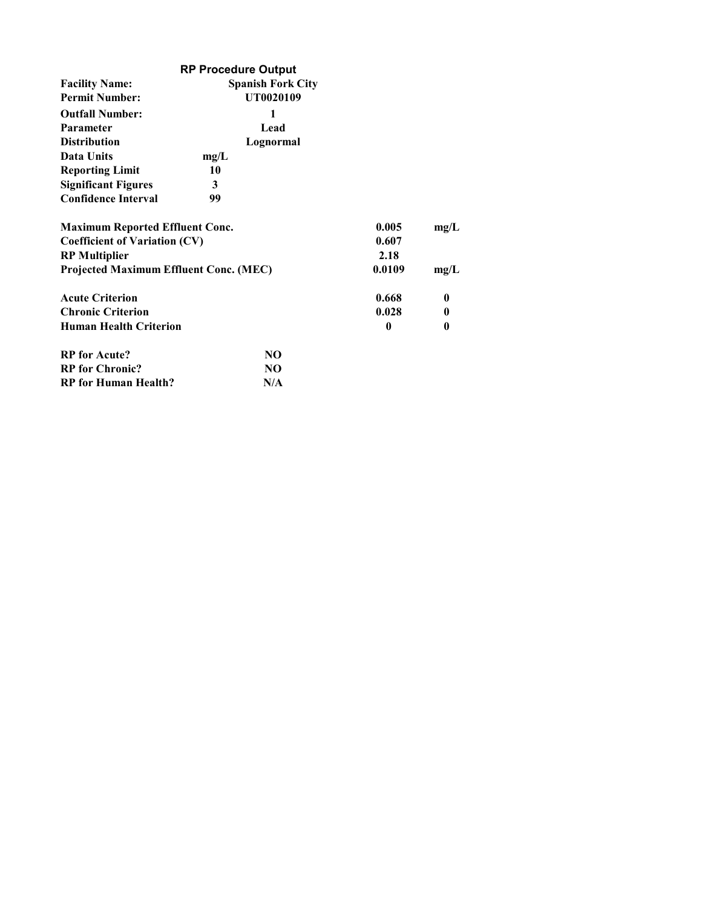|                                               | <b>RP Procedure Output</b> |        |          |
|-----------------------------------------------|----------------------------|--------|----------|
| <b>Facility Name:</b>                         | <b>Spanish Fork City</b>   |        |          |
| <b>Permit Number:</b>                         | UT0020109                  |        |          |
| <b>Outfall Number:</b>                        | 1                          |        |          |
| <b>Parameter</b>                              | Lead                       |        |          |
| <b>Distribution</b>                           | Lognormal                  |        |          |
| Data Units                                    | mg/L                       |        |          |
| <b>Reporting Limit</b>                        | 10                         |        |          |
| <b>Significant Figures</b>                    | 3                          |        |          |
| <b>Confidence Interval</b>                    | 99                         |        |          |
| <b>Maximum Reported Effluent Conc.</b>        |                            | 0.005  | mg/L     |
| <b>Coefficient of Variation (CV)</b>          | 0.607                      |        |          |
| <b>RP</b> Multiplier                          |                            | 2.18   |          |
| <b>Projected Maximum Effluent Conc. (MEC)</b> |                            | 0.0109 | mg/L     |
| <b>Acute Criterion</b>                        |                            | 0.668  | $\bf{0}$ |
| <b>Chronic Criterion</b>                      |                            | 0.028  | 0        |
| <b>Human Health Criterion</b>                 |                            | 0      | 0        |
| <b>RP</b> for Acute?                          | NO.                        |        |          |
| <b>RP</b> for Chronic?                        | NO.                        |        |          |
| <b>RP</b> for Human Health?                   | N/A                        |        |          |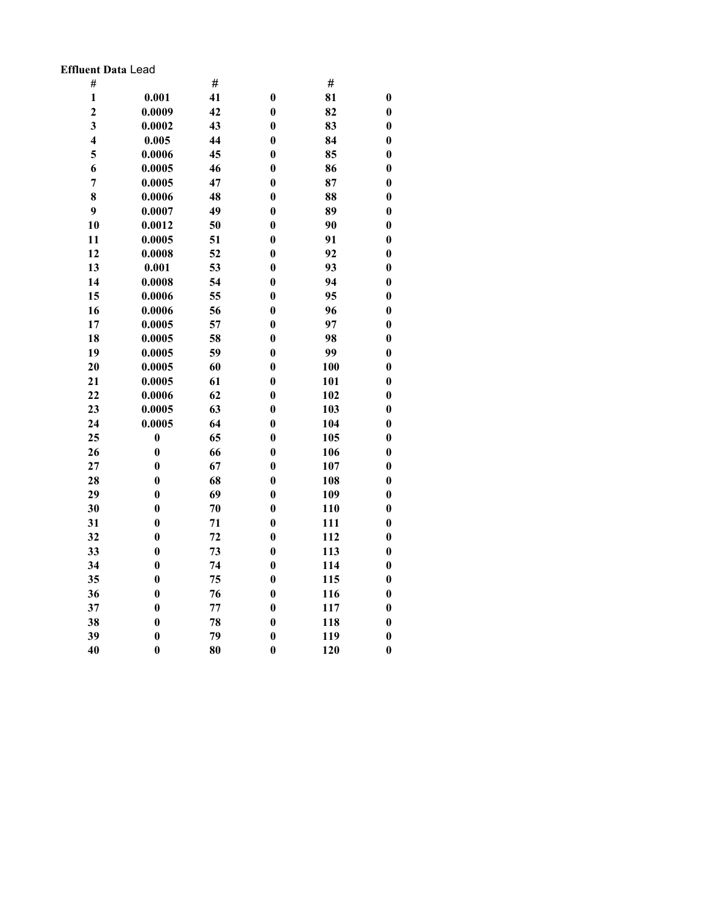### Effluent Data Lead

| #                       |                  | #  |                  | #   |                  |
|-------------------------|------------------|----|------------------|-----|------------------|
| $\mathbf{1}$            | 0.001            | 41 | $\bf{0}$         | 81  | $\boldsymbol{0}$ |
| $\overline{2}$          | 0.0009           | 42 | $\bf{0}$         | 82  | $\bf{0}$         |
| $\overline{\mathbf{3}}$ | 0.0002           | 43 | $\bf{0}$         | 83  | $\boldsymbol{0}$ |
| $\overline{\mathbf{4}}$ | 0.005            | 44 | $\bf{0}$         | 84  | $\bf{0}$         |
| 5                       | 0.0006           | 45 | $\boldsymbol{0}$ | 85  | $\boldsymbol{0}$ |
| 6                       | 0.0005           | 46 | $\bf{0}$         | 86  | $\bf{0}$         |
| $\overline{7}$          | 0.0005           | 47 | $\bf{0}$         | 87  | $\bf{0}$         |
| 8                       | 0.0006           | 48 | $\bf{0}$         | 88  | $\bf{0}$         |
| 9                       | 0.0007           | 49 | $\boldsymbol{0}$ | 89  | $\boldsymbol{0}$ |
| 10                      | 0.0012           | 50 | $\bf{0}$         | 90  | $\bf{0}$         |
| 11                      | 0.0005           | 51 | $\bf{0}$         | 91  | $\boldsymbol{0}$ |
| 12                      | 0.0008           | 52 | $\boldsymbol{0}$ | 92  | $\bf{0}$         |
| 13                      | 0.001            | 53 | $\bf{0}$         | 93  | $\bf{0}$         |
| 14                      | 0.0008           | 54 | $\bf{0}$         | 94  | $\bf{0}$         |
| 15                      | 0.0006           | 55 | $\bf{0}$         | 95  | $\bf{0}$         |
| 16                      | 0.0006           | 56 | $\bf{0}$         | 96  | $\bf{0}$         |
| 17                      | 0.0005           | 57 | $\bf{0}$         | 97  | $\bf{0}$         |
| 18                      | 0.0005           | 58 | $\bf{0}$         | 98  | $\bf{0}$         |
| 19                      | 0.0005           | 59 | $\bf{0}$         | 99  | $\bf{0}$         |
| 20                      | 0.0005           | 60 | $\bf{0}$         | 100 | $\bf{0}$         |
| 21                      | 0.0005           | 61 | $\boldsymbol{0}$ | 101 | $\boldsymbol{0}$ |
| 22                      | 0.0006           | 62 | $\bf{0}$         | 102 | $\bf{0}$         |
| 23                      | 0.0005           | 63 | $\bf{0}$         | 103 | $\boldsymbol{0}$ |
| 24                      | 0.0005           | 64 | $\bf{0}$         | 104 | $\bf{0}$         |
| 25                      | $\boldsymbol{0}$ | 65 | $\boldsymbol{0}$ | 105 | $\boldsymbol{0}$ |
| 26                      | $\bf{0}$         | 66 | $\bf{0}$         | 106 | $\bf{0}$         |
| 27                      | $\bf{0}$         | 67 | $\bf{0}$         | 107 | $\bf{0}$         |
| 28                      | $\bf{0}$         | 68 | $\bf{0}$         | 108 | $\boldsymbol{0}$ |
| 29                      | $\boldsymbol{0}$ | 69 | $\boldsymbol{0}$ | 109 | $\boldsymbol{0}$ |
| 30                      | $\bf{0}$         | 70 | $\bf{0}$         | 110 | $\bf{0}$         |
| 31                      | $\bf{0}$         | 71 | $\bf{0}$         | 111 | $\boldsymbol{0}$ |
| 32                      | $\bf{0}$         | 72 | $\boldsymbol{0}$ | 112 | $\boldsymbol{0}$ |
| 33                      | $\bf{0}$         | 73 | $\bf{0}$         | 113 | $\boldsymbol{0}$ |
| 34                      | $\bf{0}$         | 74 | $\bf{0}$         | 114 | $\bf{0}$         |
| 35                      | $\bf{0}$         | 75 | $\bf{0}$         | 115 | $\boldsymbol{0}$ |
| 36                      | $\bf{0}$         | 76 | $\bf{0}$         | 116 | $\boldsymbol{0}$ |
| 37                      | $\boldsymbol{0}$ | 77 | $\boldsymbol{0}$ | 117 | $\boldsymbol{0}$ |
| 38                      | $\bf{0}$         | 78 | $\bf{0}$         | 118 | $\bf{0}$         |
| 39                      | $\bf{0}$         | 79 | $\bf{0}$         | 119 | $\bf{0}$         |
| 40                      | $\bf{0}$         | 80 | $\bf{0}$         | 120 | $\bf{0}$         |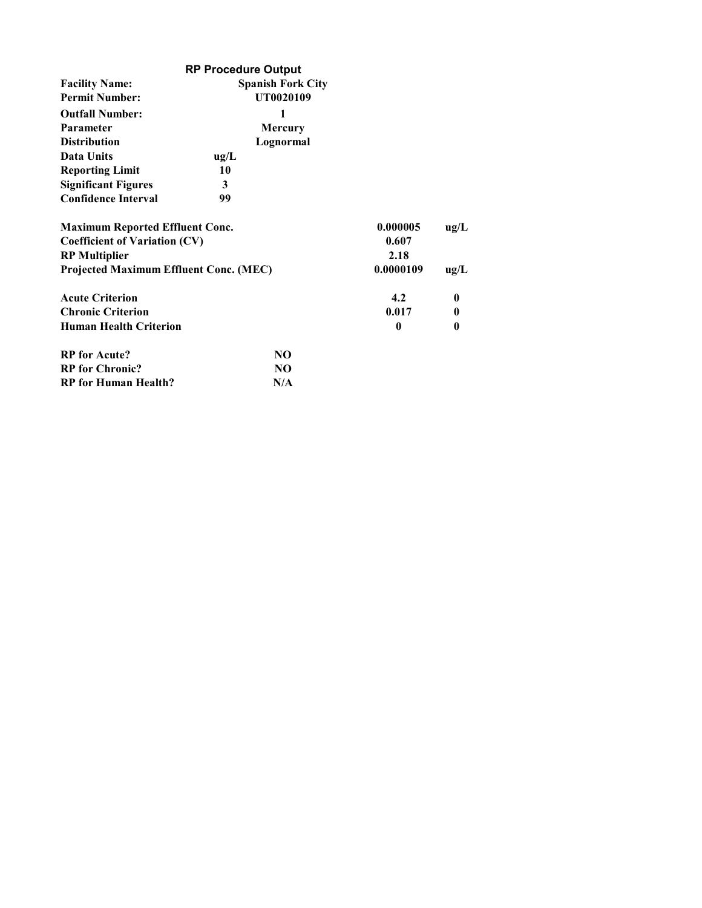|                                        | <b>RP Procedure Output</b> |                |              |      |
|----------------------------------------|----------------------------|----------------|--------------|------|
| <b>Facility Name:</b>                  | <b>Spanish Fork City</b>   |                |              |      |
| <b>Permit Number:</b>                  | UT0020109                  |                |              |      |
| <b>Outfall Number:</b>                 |                            | 1              |              |      |
| Parameter                              |                            | <b>Mercury</b> |              |      |
| <b>Distribution</b>                    |                            | Lognormal      |              |      |
| Data Units                             | ug/L                       |                |              |      |
| <b>Reporting Limit</b>                 | 10                         |                |              |      |
| <b>Significant Figures</b>             | 3                          |                |              |      |
| <b>Confidence Interval</b>             | 99                         |                |              |      |
| <b>Maximum Reported Effluent Conc.</b> |                            |                | 0.000005     | ug/L |
| <b>Coefficient of Variation (CV)</b>   |                            |                | 0.607        |      |
| <b>RP</b> Multiplier                   |                            |                | 2.18         |      |
| Projected Maximum Effluent Conc. (MEC) |                            |                | 0.0000109    | ug/L |
| <b>Acute Criterion</b>                 |                            |                | 4.2          | 0    |
| <b>Chronic Criterion</b>               |                            |                | 0.017        | 0    |
| <b>Human Health Criterion</b>          |                            |                | $\mathbf{0}$ | 0    |
| <b>RP</b> for Acute?                   |                            | NO.            |              |      |
| <b>RP</b> for Chronic?                 |                            | NO.            |              |      |
| <b>RP</b> for Human Health?            |                            | N/A            |              |      |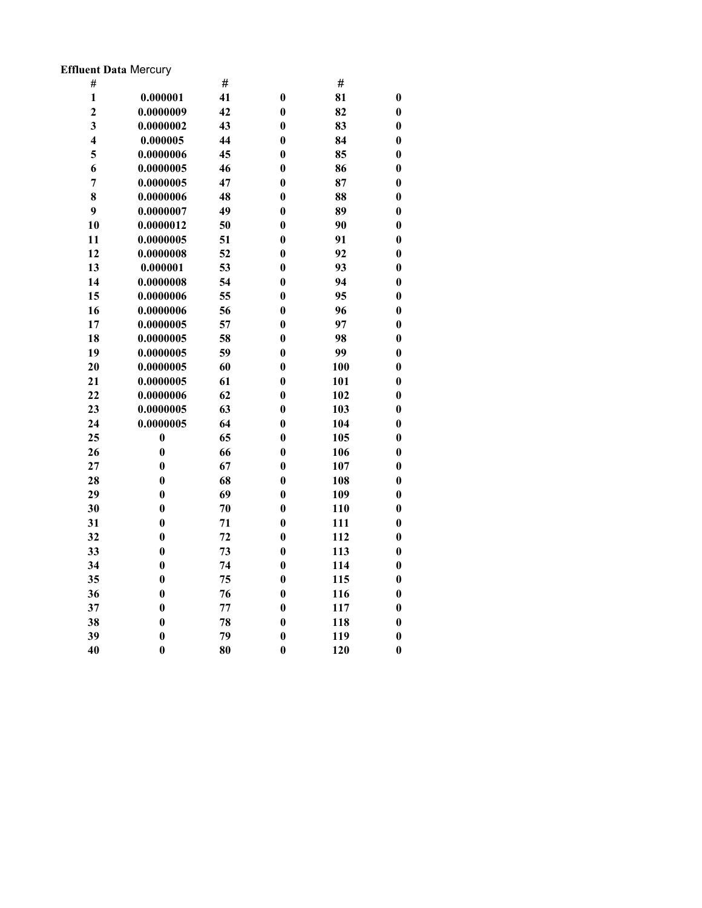# Effluent Data Mercury

| #                       |                  | #  |                  | #   |                  |
|-------------------------|------------------|----|------------------|-----|------------------|
| $\mathbf{1}$            | 0.000001         | 41 | $\bf{0}$         | 81  | $\bf{0}$         |
| $\overline{2}$          | 0.0000009        | 42 | $\bf{0}$         | 82  | $\bf{0}$         |
| $\overline{\mathbf{3}}$ | 0.0000002        | 43 | $\boldsymbol{0}$ | 83  | $\bf{0}$         |
| $\overline{\mathbf{4}}$ | 0.000005         | 44 | $\bf{0}$         | 84  | $\bf{0}$         |
| 5                       | 0.0000006        | 45 | $\boldsymbol{0}$ | 85  | $\bf{0}$         |
| 6                       | 0.0000005        | 46 | $\bf{0}$         | 86  | $\bf{0}$         |
| $\overline{7}$          | 0.0000005        | 47 | $\bf{0}$         | 87  | $\bf{0}$         |
| 8                       | 0.0000006        | 48 | $\bf{0}$         | 88  | $\bf{0}$         |
| 9                       | 0.0000007        | 49 | $\bf{0}$         | 89  | $\boldsymbol{0}$ |
| 10                      | 0.0000012        | 50 | $\boldsymbol{0}$ | 90  | $\bf{0}$         |
| 11                      | 0.0000005        | 51 | $\boldsymbol{0}$ | 91  | $\bf{0}$         |
| 12                      | 0.0000008        | 52 | $\bf{0}$         | 92  | $\bf{0}$         |
| 13                      | 0.000001         | 53 | $\bf{0}$         | 93  | $\bf{0}$         |
| 14                      | 0.0000008        | 54 | $\bf{0}$         | 94  | $\bf{0}$         |
| 15                      | 0.0000006        | 55 | $\boldsymbol{0}$ | 95  | $\bf{0}$         |
| 16                      | 0.0000006        | 56 | $\bf{0}$         | 96  | $\bf{0}$         |
| 17                      | 0.0000005        | 57 | $\boldsymbol{0}$ | 97  | $\bf{0}$         |
| 18                      | 0.0000005        | 58 | $\boldsymbol{0}$ | 98  | $\bf{0}$         |
| 19                      | 0.0000005        | 59 | $\boldsymbol{0}$ | 99  | $\bf{0}$         |
| 20                      | 0.0000005        | 60 | $\bf{0}$         | 100 | $\bf{0}$         |
| 21                      | 0.0000005        | 61 | $\boldsymbol{0}$ | 101 | $\bf{0}$         |
| 22                      | 0.0000006        | 62 | $\boldsymbol{0}$ | 102 | $\bf{0}$         |
| 23                      | 0.0000005        | 63 | $\boldsymbol{0}$ | 103 | $\bf{0}$         |
| 24                      | 0.0000005        | 64 | $\bf{0}$         | 104 | $\bf{0}$         |
| 25                      | $\boldsymbol{0}$ | 65 | $\bf{0}$         | 105 | $\bf{0}$         |
| 26                      | $\bf{0}$         | 66 | $\boldsymbol{0}$ | 106 | $\bf{0}$         |
| 27                      | $\bf{0}$         | 67 | $\boldsymbol{0}$ | 107 | $\bf{0}$         |
| 28                      | $\bf{0}$         | 68 | $\bf{0}$         | 108 | $\bf{0}$         |
| 29                      | $\bf{0}$         | 69 | $\bf{0}$         | 109 | $\boldsymbol{0}$ |
| 30                      | $\bf{0}$         | 70 | $\bf{0}$         | 110 | $\bf{0}$         |
| 31                      | $\bf{0}$         | 71 | $\boldsymbol{0}$ | 111 | $\bf{0}$         |
| 32                      | $\bf{0}$         | 72 | $\bf{0}$         | 112 | $\bf{0}$         |
| 33                      | $\bf{0}$         | 73 | $\boldsymbol{0}$ | 113 | $\bf{0}$         |
| 34                      | $\bf{0}$         | 74 | $\bf{0}$         | 114 | $\bf{0}$         |
| 35                      | $\bf{0}$         | 75 | $\bf{0}$         | 115 | $\bf{0}$         |
| 36                      | $\bf{0}$         | 76 | $\bf{0}$         | 116 | $\bf{0}$         |
| 37                      | $\bf{0}$         | 77 | $\bf{0}$         | 117 | $\bf{0}$         |
| 38                      | $\bf{0}$         | 78 | $\boldsymbol{0}$ | 118 | $\bf{0}$         |
| 39                      | $\bf{0}$         | 79 | $\bf{0}$         | 119 | $\bf{0}$         |
| 40                      | $\bf{0}$         | 80 | $\bf{0}$         | 120 | $\bf{0}$         |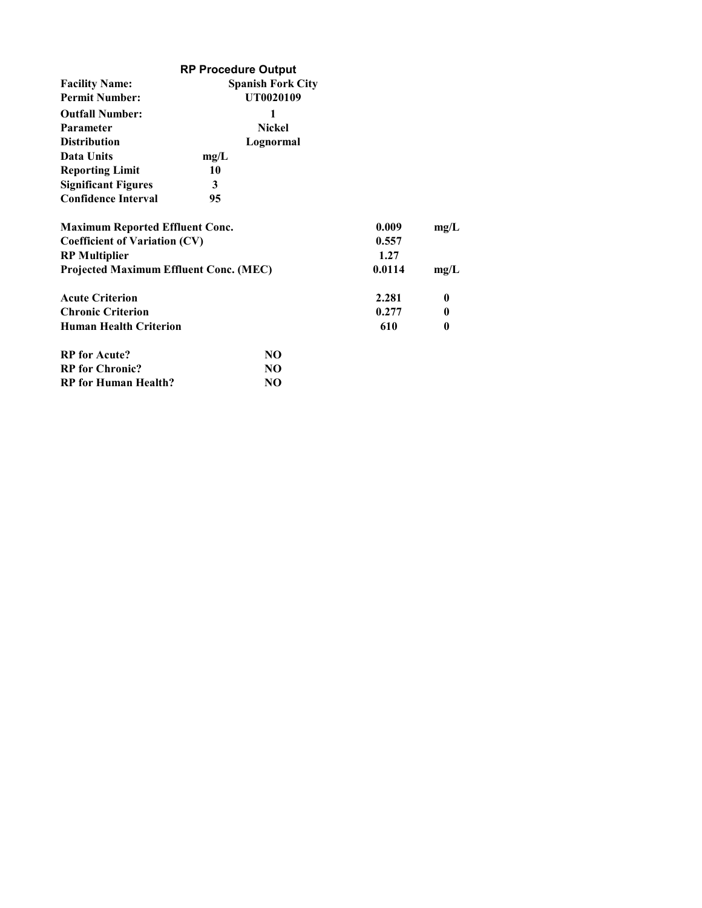|                                               | <b>RP Procedure Output</b> |        |              |
|-----------------------------------------------|----------------------------|--------|--------------|
| <b>Facility Name:</b>                         | <b>Spanish Fork City</b>   |        |              |
| <b>Permit Number:</b>                         | UT0020109                  |        |              |
| <b>Outfall Number:</b>                        | 1                          |        |              |
| <b>Parameter</b>                              | <b>Nickel</b>              |        |              |
| <b>Distribution</b>                           | Lognormal                  |        |              |
| Data Units                                    | mg/L                       |        |              |
| <b>Reporting Limit</b>                        | 10                         |        |              |
| <b>Significant Figures</b>                    | 3                          |        |              |
| <b>Confidence Interval</b>                    | 95                         |        |              |
| <b>Maximum Reported Effluent Conc.</b>        |                            | 0.009  | mg/L         |
| <b>Coefficient of Variation (CV)</b>          | 0.557                      |        |              |
| <b>RP</b> Multiplier                          |                            | 1.27   |              |
| <b>Projected Maximum Effluent Conc. (MEC)</b> |                            | 0.0114 | mg/L         |
| <b>Acute Criterion</b>                        |                            | 2.281  | $\bf{0}$     |
| <b>Chronic Criterion</b>                      |                            | 0.277  | $\mathbf{0}$ |
| <b>Human Health Criterion</b>                 |                            | 610    | 0            |
| <b>RP</b> for Acute?                          | NO.                        |        |              |
| <b>RP</b> for Chronic?                        | NO.                        |        |              |
| <b>RP</b> for Human Health?                   | NO                         |        |              |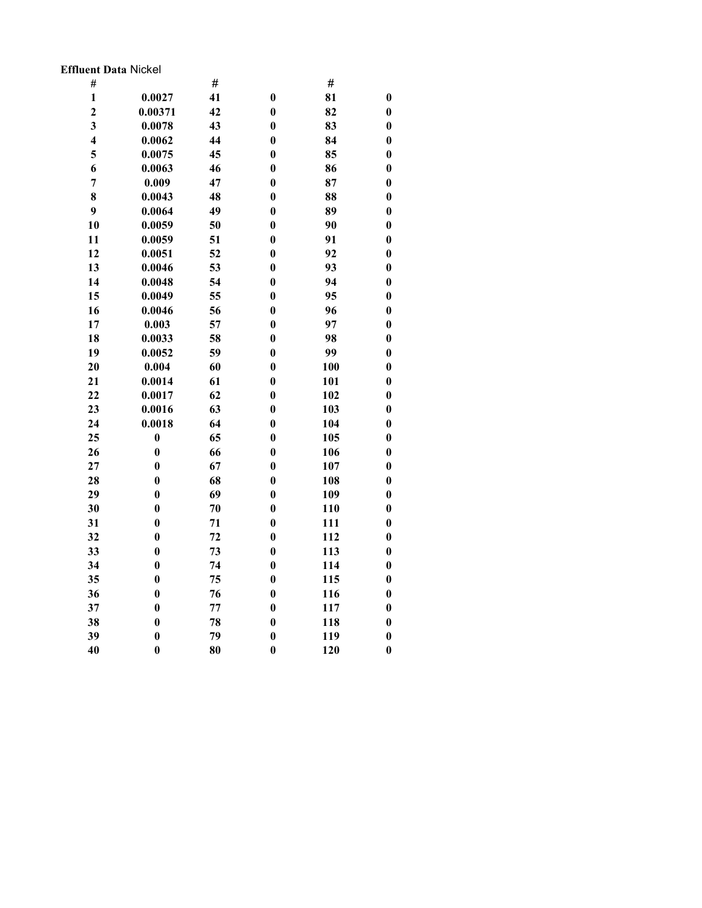### Effluent Data Nickel

| #                       |                  | #  |                  | #   |                  |
|-------------------------|------------------|----|------------------|-----|------------------|
| $\mathbf{1}$            | 0.0027           | 41 | $\bf{0}$         | 81  | $\boldsymbol{0}$ |
| $\overline{2}$          | 0.00371          | 42 | $\bf{0}$         | 82  | $\bf{0}$         |
| $\overline{\mathbf{3}}$ | 0.0078           | 43 | $\bf{0}$         | 83  | $\bf{0}$         |
| $\overline{\mathbf{4}}$ | 0.0062           | 44 | $\bf{0}$         | 84  | $\bf{0}$         |
| 5                       | 0.0075           | 45 | $\bf{0}$         | 85  | $\boldsymbol{0}$ |
| 6                       | 0.0063           | 46 | $\bf{0}$         | 86  | $\bf{0}$         |
| $\overline{7}$          | 0.009            | 47 | $\bf{0}$         | 87  | $\bf{0}$         |
| 8                       | 0.0043           | 48 | $\bf{0}$         | 88  | $\boldsymbol{0}$ |
| 9                       | 0.0064           | 49 | $\boldsymbol{0}$ | 89  | $\boldsymbol{0}$ |
| 10                      | 0.0059           | 50 | $\bf{0}$         | 90  | $\bf{0}$         |
| 11                      | 0.0059           | 51 | $\bf{0}$         | 91  | $\bf{0}$         |
| 12                      | 0.0051           | 52 | $\boldsymbol{0}$ | 92  | $\boldsymbol{0}$ |
| 13                      | 0.0046           | 53 | $\bf{0}$         | 93  | $\boldsymbol{0}$ |
| 14                      | 0.0048           | 54 | $\bf{0}$         | 94  | $\bf{0}$         |
| 15                      | 0.0049           | 55 | $\bf{0}$         | 95  | $\bf{0}$         |
| 16                      | 0.0046           | 56 | $\bf{0}$         | 96  | $\bf{0}$         |
| 17                      | 0.003            | 57 | $\bf{0}$         | 97  | $\boldsymbol{0}$ |
| 18                      | 0.0033           | 58 | $\bf{0}$         | 98  | $\bf{0}$         |
| 19                      | 0.0052           | 59 | $\bf{0}$         | 99  | $\bf{0}$         |
| 20                      | 0.004            | 60 | $\bf{0}$         | 100 | $\boldsymbol{0}$ |
| 21                      | 0.0014           | 61 | $\bf{0}$         | 101 | $\boldsymbol{0}$ |
| 22                      | 0.0017           | 62 | $\bf{0}$         | 102 | $\bf{0}$         |
| 23                      | 0.0016           | 63 | $\bf{0}$         | 103 | $\bf{0}$         |
| 24                      | 0.0018           | 64 | $\bf{0}$         | 104 | $\boldsymbol{0}$ |
| 25                      | $\boldsymbol{0}$ | 65 | $\boldsymbol{0}$ | 105 | $\boldsymbol{0}$ |
| 26                      | $\bf{0}$         | 66 | $\bf{0}$         | 106 | $\bf{0}$         |
| 27                      | $\boldsymbol{0}$ | 67 | $\bf{0}$         | 107 | $\bf{0}$         |
| 28                      | $\bf{0}$         | 68 | $\bf{0}$         | 108 | $\boldsymbol{0}$ |
| 29                      | $\bf{0}$         | 69 | $\boldsymbol{0}$ | 109 | $\boldsymbol{0}$ |
| 30                      | $\bf{0}$         | 70 | $\bf{0}$         | 110 | $\bf{0}$         |
| 31                      | $\boldsymbol{0}$ | 71 | $\bf{0}$         | 111 | $\boldsymbol{0}$ |
| 32                      | $\bf{0}$         | 72 | $\boldsymbol{0}$ | 112 | $\boldsymbol{0}$ |
| 33                      | $\boldsymbol{0}$ | 73 | $\bf{0}$         | 113 | $\boldsymbol{0}$ |
| 34                      | $\boldsymbol{0}$ | 74 | $\bf{0}$         | 114 | $\bf{0}$         |
| 35                      | $\boldsymbol{0}$ | 75 | $\bf{0}$         | 115 | $\boldsymbol{0}$ |
| 36                      | $\bf{0}$         | 76 | $\bf{0}$         | 116 | $\bf{0}$         |
| 37                      | $\boldsymbol{0}$ | 77 | $\boldsymbol{0}$ | 117 | $\bf{0}$         |
| 38                      | $\boldsymbol{0}$ | 78 | $\bf{0}$         | 118 | $\bf{0}$         |
| 39                      | $\boldsymbol{0}$ | 79 | $\boldsymbol{0}$ | 119 | $\bf{0}$         |
| 40                      | $\bf{0}$         | 80 | $\bf{0}$         | 120 | $\bf{0}$         |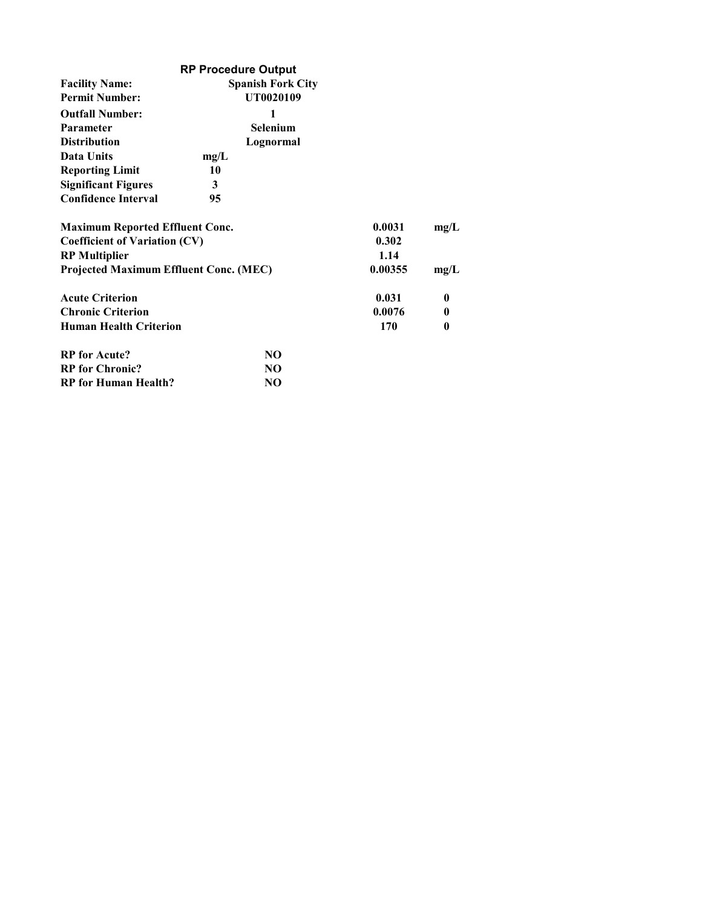|                                               | <b>RP Procedure Output</b> |         |              |
|-----------------------------------------------|----------------------------|---------|--------------|
| <b>Facility Name:</b>                         | <b>Spanish Fork City</b>   |         |              |
| <b>Permit Number:</b>                         | UT0020109                  |         |              |
| <b>Outfall Number:</b>                        | 1                          |         |              |
| <b>Parameter</b>                              | <b>Selenium</b>            |         |              |
| <b>Distribution</b>                           | Lognormal                  |         |              |
| Data Units                                    | mg/L                       |         |              |
| <b>Reporting Limit</b>                        | 10                         |         |              |
| <b>Significant Figures</b>                    | 3                          |         |              |
| <b>Confidence Interval</b>                    | 95                         |         |              |
| <b>Maximum Reported Effluent Conc.</b>        |                            | 0.0031  | mg/L         |
| <b>Coefficient of Variation (CV)</b>          | 0.302                      |         |              |
| <b>RP</b> Multiplier                          |                            | 1.14    |              |
| <b>Projected Maximum Effluent Conc. (MEC)</b> |                            | 0.00355 | mg/L         |
| <b>Acute Criterion</b>                        |                            | 0.031   | $\mathbf{0}$ |
| <b>Chronic Criterion</b>                      |                            | 0.0076  | $\mathbf{0}$ |
| <b>Human Health Criterion</b>                 |                            | 170     | 0            |
| <b>RP</b> for Acute?                          | NO.                        |         |              |
| <b>RP</b> for Chronic?                        | NO.                        |         |              |
| <b>RP</b> for Human Health?                   | NO                         |         |              |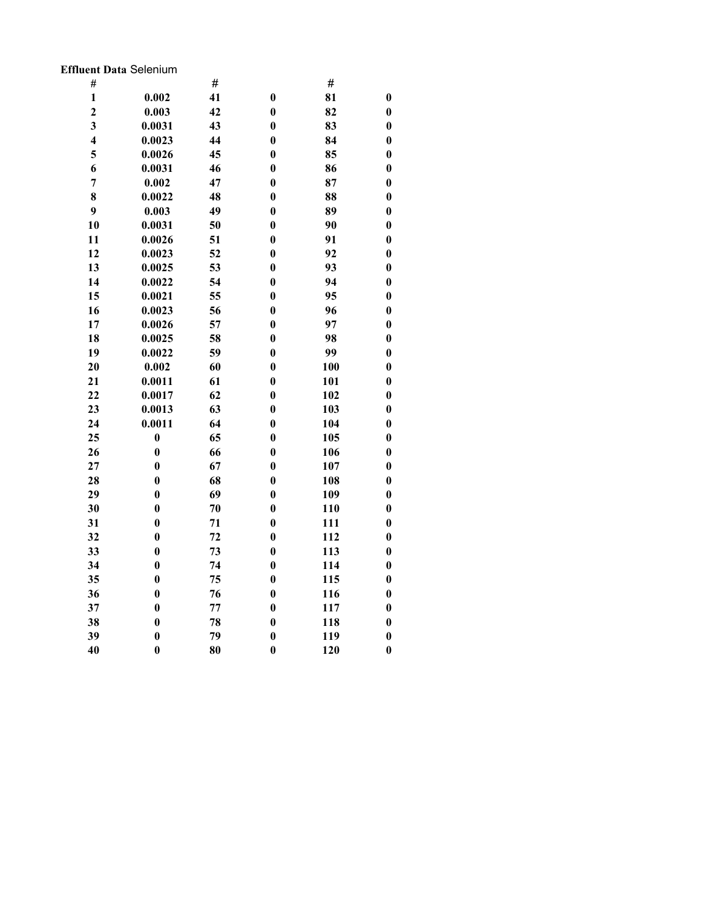### Effluent Data Selenium

| #                       |                  | #  |                  | $\#$ |                  |
|-------------------------|------------------|----|------------------|------|------------------|
| $\mathbf{1}$            | 0.002            | 41 | $\bf{0}$         | 81   | $\boldsymbol{0}$ |
| $\overline{2}$          | 0.003            | 42 | $\bf{0}$         | 82   | $\bf{0}$         |
| $\overline{\mathbf{3}}$ | 0.0031           | 43 | $\bf{0}$         | 83   | $\boldsymbol{0}$ |
| $\overline{\mathbf{4}}$ | 0.0023           | 44 | $\bf{0}$         | 84   | $\boldsymbol{0}$ |
| 5                       | 0.0026           | 45 | $\boldsymbol{0}$ | 85   | $\boldsymbol{0}$ |
| 6                       | 0.0031           | 46 | $\bf{0}$         | 86   | $\bf{0}$         |
| $\overline{7}$          | 0.002            | 47 | $\bf{0}$         | 87   | $\bf{0}$         |
| 8                       | 0.0022           | 48 | $\bf{0}$         | 88   | $\boldsymbol{0}$ |
| 9                       | 0.003            | 49 | $\boldsymbol{0}$ | 89   | $\boldsymbol{0}$ |
| 10                      | 0.0031           | 50 | $\bf{0}$         | 90   | $\bf{0}$         |
| 11                      | 0.0026           | 51 | $\bf{0}$         | 91   | $\boldsymbol{0}$ |
| 12                      | 0.0023           | 52 | $\boldsymbol{0}$ | 92   | $\boldsymbol{0}$ |
| 13                      | 0.0025           | 53 | $\bf{0}$         | 93   | $\boldsymbol{0}$ |
| 14                      | 0.0022           | 54 | $\bf{0}$         | 94   | $\bf{0}$         |
| 15                      | 0.0021           | 55 | $\bf{0}$         | 95   | $\boldsymbol{0}$ |
| 16                      | 0.0023           | 56 | $\bf{0}$         | 96   | $\boldsymbol{0}$ |
| 17                      | 0.0026           | 57 | $\bf{0}$         | 97   | $\boldsymbol{0}$ |
| 18                      | 0.0025           | 58 | $\bf{0}$         | 98   | $\bf{0}$         |
| 19                      | 0.0022           | 59 | $\bf{0}$         | 99   | $\bf{0}$         |
| 20                      | 0.002            | 60 | $\bf{0}$         | 100  | $\boldsymbol{0}$ |
| 21                      | 0.0011           | 61 | $\boldsymbol{0}$ | 101  | $\boldsymbol{0}$ |
| 22                      | 0.0017           | 62 | $\bf{0}$         | 102  | $\bf{0}$         |
| 23                      | 0.0013           | 63 | $\bf{0}$         | 103  | $\boldsymbol{0}$ |
| 24                      | 0.0011           | 64 | $\bf{0}$         | 104  | $\boldsymbol{0}$ |
| 25                      | $\boldsymbol{0}$ | 65 | $\bf{0}$         | 105  | $\boldsymbol{0}$ |
| 26                      | $\bf{0}$         | 66 | $\bf{0}$         | 106  | $\bf{0}$         |
| 27                      | $\bf{0}$         | 67 | $\bf{0}$         | 107  | $\boldsymbol{0}$ |
| 28                      | $\bf{0}$         | 68 | $\bf{0}$         | 108  | $\boldsymbol{0}$ |
| 29                      | $\boldsymbol{0}$ | 69 | $\boldsymbol{0}$ | 109  | $\boldsymbol{0}$ |
| 30                      | $\bf{0}$         | 70 | $\bf{0}$         | 110  | $\bf{0}$         |
| 31                      | $\bf{0}$         | 71 | $\bf{0}$         | 111  | $\boldsymbol{0}$ |
| 32                      | $\boldsymbol{0}$ | 72 | $\bf{0}$         | 112  | $\boldsymbol{0}$ |
| 33                      | $\bf{0}$         | 73 | $\bf{0}$         | 113  | $\boldsymbol{0}$ |
| 34                      | $\bf{0}$         | 74 | $\bf{0}$         | 114  | $\bf{0}$         |
| 35                      | $\bf{0}$         | 75 | $\bf{0}$         | 115  | $\boldsymbol{0}$ |
| 36                      | $\bf{0}$         | 76 | $\bf{0}$         | 116  | $\boldsymbol{0}$ |
| 37                      | $\boldsymbol{0}$ | 77 | $\boldsymbol{0}$ | 117  | $\boldsymbol{0}$ |
| 38                      | $\bf{0}$         | 78 | $\bf{0}$         | 118  | $\boldsymbol{0}$ |
| 39                      | $\bf{0}$         | 79 | $\boldsymbol{0}$ | 119  | $\bf{0}$         |
| 40                      | $\bf{0}$         | 80 | $\bf{0}$         | 120  | $\bf{0}$         |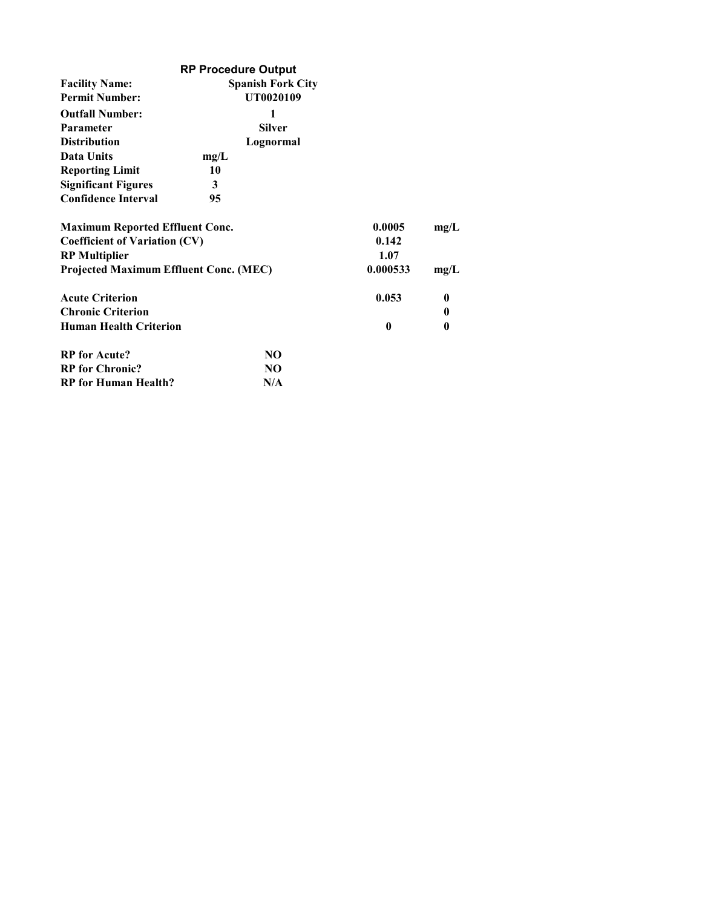|                                        | <b>RP Procedure Output</b> |          |          |
|----------------------------------------|----------------------------|----------|----------|
| <b>Facility Name:</b>                  | <b>Spanish Fork City</b>   |          |          |
| <b>Permit Number:</b>                  | UT0020109                  |          |          |
| <b>Outfall Number:</b>                 | 1                          |          |          |
| <b>Parameter</b>                       | <b>Silver</b>              |          |          |
| <b>Distribution</b>                    | Lognormal                  |          |          |
| Data Units                             | mg/L                       |          |          |
| <b>Reporting Limit</b>                 | 10                         |          |          |
| <b>Significant Figures</b>             | 3                          |          |          |
| <b>Confidence Interval</b>             | 95                         |          |          |
| <b>Maximum Reported Effluent Conc.</b> |                            | 0.0005   | mg/L     |
| <b>Coefficient of Variation (CV)</b>   |                            | 0.142    |          |
| <b>RP</b> Multiplier                   |                            | 1.07     |          |
| Projected Maximum Effluent Conc. (MEC) |                            | 0.000533 | mg/L     |
| <b>Acute Criterion</b>                 |                            | 0.053    | $\bf{0}$ |
| <b>Chronic Criterion</b>               |                            |          | $\bf{0}$ |
| <b>Human Health Criterion</b>          |                            | 0        | 0        |
| <b>RP</b> for Acute?                   | NO.                        |          |          |
| <b>RP</b> for Chronic?                 | NO.                        |          |          |
| <b>RP</b> for Human Health?            | N/A                        |          |          |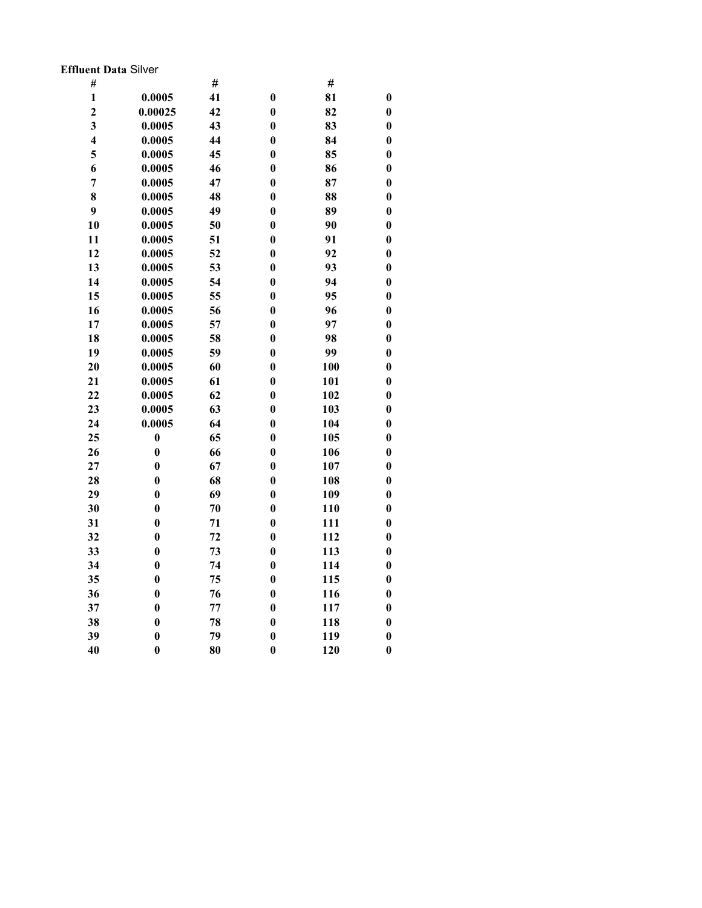### Effluent Data Silver

| $\#$                    |                  | #  |                  | #   |                  |
|-------------------------|------------------|----|------------------|-----|------------------|
| $\mathbf{1}$            | 0.0005           | 41 | $\bf{0}$         | 81  | $\boldsymbol{0}$ |
| $\overline{2}$          | 0.00025          | 42 | $\bf{0}$         | 82  | $\bf{0}$         |
| $\overline{\mathbf{3}}$ | 0.0005           | 43 | $\bf{0}$         | 83  | $\bf{0}$         |
| $\overline{\mathbf{4}}$ | 0.0005           | 44 | $\bf{0}$         | 84  | $\boldsymbol{0}$ |
| 5                       | 0.0005           | 45 | $\bf{0}$         | 85  | $\boldsymbol{0}$ |
| 6                       | 0.0005           | 46 | $\bf{0}$         | 86  | $\boldsymbol{0}$ |
| $\overline{7}$          | 0.0005           | 47 | $\bf{0}$         | 87  | $\bf{0}$         |
| 8                       | 0.0005           | 48 | $\bf{0}$         | 88  | $\bf{0}$         |
| 9                       | 0.0005           | 49 | $\boldsymbol{0}$ | 89  | $\boldsymbol{0}$ |
| 10                      | 0.0005           | 50 | $\bf{0}$         | 90  | $\bf{0}$         |
| 11                      | 0.0005           | 51 | $\bf{0}$         | 91  | $\boldsymbol{0}$ |
| 12                      | 0.0005           | 52 | $\bf{0}$         | 92  | $\bf{0}$         |
| 13                      | 0.0005           | 53 | $\bf{0}$         | 93  | $\bf{0}$         |
| 14                      | 0.0005           | 54 | $\bf{0}$         | 94  | $\bf{0}$         |
| 15                      | 0.0005           | 55 | $\bf{0}$         | 95  | $\boldsymbol{0}$ |
| 16                      | 0.0005           | 56 | $\bf{0}$         | 96  | $\boldsymbol{0}$ |
| 17                      | 0.0005           | 57 | $\bf{0}$         | 97  | $\boldsymbol{0}$ |
| 18                      | 0.0005           | 58 | $\bf{0}$         | 98  | $\boldsymbol{0}$ |
| 19                      | 0.0005           | 59 | $\bf{0}$         | 99  | $\boldsymbol{0}$ |
| 20                      | 0.0005           | 60 | $\bf{0}$         | 100 | $\boldsymbol{0}$ |
| 21                      | 0.0005           | 61 | $\bf{0}$         | 101 | $\boldsymbol{0}$ |
| 22                      | 0.0005           | 62 | $\bf{0}$         | 102 | $\bf{0}$         |
| 23                      | 0.0005           | 63 | $\bf{0}$         | 103 | $\boldsymbol{0}$ |
| 24                      | 0.0005           | 64 | $\bf{0}$         | 104 | $\boldsymbol{0}$ |
| 25                      | $\boldsymbol{0}$ | 65 | $\bf{0}$         | 105 | $\boldsymbol{0}$ |
| 26                      | $\bf{0}$         | 66 | $\bf{0}$         | 106 | $\bf{0}$         |
| 27                      | $\bf{0}$         | 67 | $\bf{0}$         | 107 | $\boldsymbol{0}$ |
| 28                      | $\boldsymbol{0}$ | 68 | $\bf{0}$         | 108 | $\boldsymbol{0}$ |
| 29                      | $\boldsymbol{0}$ | 69 | $\bf{0}$         | 109 | $\boldsymbol{0}$ |
| 30                      | $\bf{0}$         | 70 | $\bf{0}$         | 110 | $\bf{0}$         |
| 31                      | $\bf{0}$         | 71 | $\bf{0}$         | 111 | $\boldsymbol{0}$ |
| 32                      | $\boldsymbol{0}$ | 72 | $\bf{0}$         | 112 | $\boldsymbol{0}$ |
| 33                      | $\bf{0}$         | 73 | $\bf{0}$         | 113 | $\boldsymbol{0}$ |
| 34                      | $\bf{0}$         | 74 | $\bf{0}$         | 114 | $\bf{0}$         |
| 35                      | $\bf{0}$         | 75 | $\bf{0}$         | 115 | $\boldsymbol{0}$ |
| 36                      | $\bf{0}$         | 76 | $\bf{0}$         | 116 | $\boldsymbol{0}$ |
| 37                      | $\boldsymbol{0}$ | 77 | $\boldsymbol{0}$ | 117 | $\boldsymbol{0}$ |
| 38                      | $\bf{0}$         | 78 | $\boldsymbol{0}$ | 118 | $\boldsymbol{0}$ |
| 39                      | $\bf{0}$         | 79 | $\boldsymbol{0}$ | 119 | $\boldsymbol{0}$ |
| 40                      | $\bf{0}$         | 80 | $\bf{0}$         | 120 | $\bf{0}$         |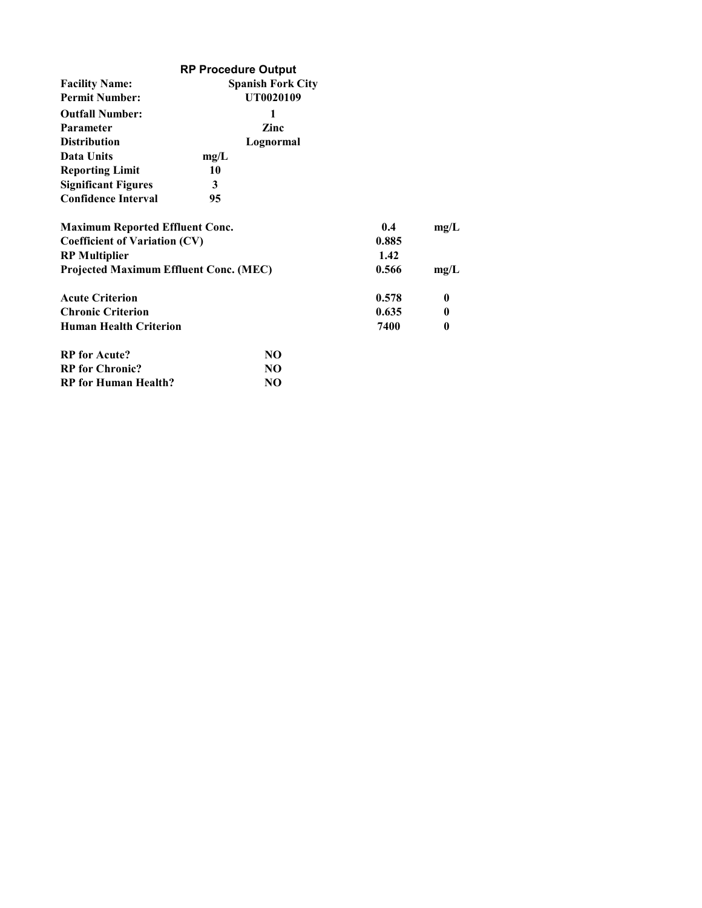|                                               | <b>RP Procedure Output</b> |       |              |
|-----------------------------------------------|----------------------------|-------|--------------|
| <b>Facility Name:</b>                         | <b>Spanish Fork City</b>   |       |              |
| <b>Permit Number:</b>                         | UT0020109                  |       |              |
| <b>Outfall Number:</b>                        | 1                          |       |              |
| <b>Parameter</b>                              | Zinc                       |       |              |
| <b>Distribution</b>                           | Lognormal                  |       |              |
| Data Units                                    | mg/L                       |       |              |
| <b>Reporting Limit</b>                        | 10                         |       |              |
| <b>Significant Figures</b>                    | 3                          |       |              |
| <b>Confidence Interval</b>                    | 95                         |       |              |
| <b>Maximum Reported Effluent Conc.</b>        |                            | 0.4   | mg/L         |
| <b>Coefficient of Variation (CV)</b>          | 0.885                      |       |              |
| <b>RP</b> Multiplier                          |                            | 1.42  |              |
| <b>Projected Maximum Effluent Conc. (MEC)</b> |                            | 0.566 | mg/L         |
| <b>Acute Criterion</b>                        |                            | 0.578 | $\bf{0}$     |
| <b>Chronic Criterion</b>                      |                            | 0.635 | $\mathbf{0}$ |
| <b>Human Health Criterion</b>                 |                            | 7400  | 0            |
| <b>RP</b> for Acute?                          | NO.                        |       |              |
| <b>RP</b> for Chronic?                        | NO.                        |       |              |
| <b>RP</b> for Human Health?                   | NO                         |       |              |